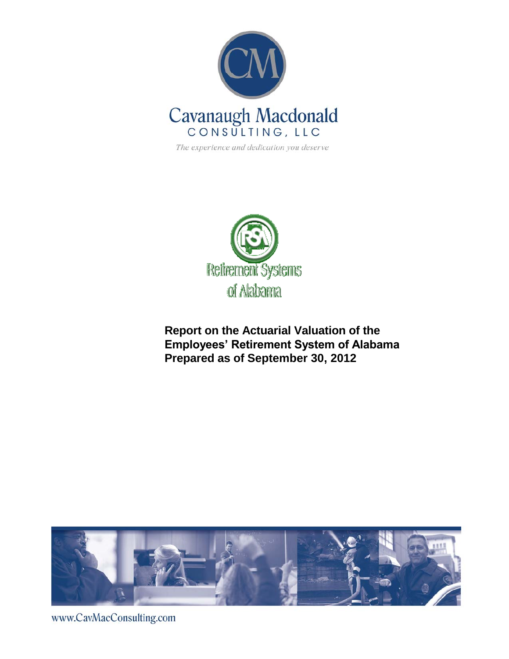

The experience and dedication you deserve



**Report on the Actuarial Valuation of the Employees' Retirement System of Alabama Prepared as of September 30, 2012**



www.CavMacConsulting.com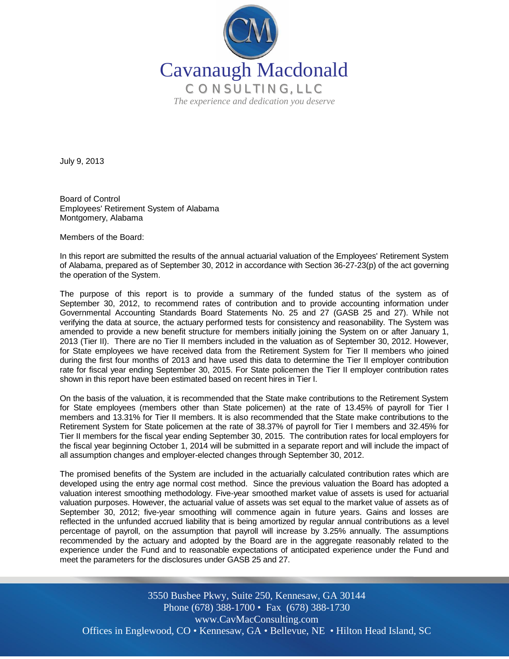

July 9, 2013

Board of Control Employees' Retirement System of Alabama Montgomery, Alabama

Members of the Board:

In this report are submitted the results of the annual actuarial valuation of the Employees' Retirement System of Alabama, prepared as of September 30, 2012 in accordance with Section 36-27-23(p) of the act governing the operation of the System.

The purpose of this report is to provide a summary of the funded status of the system as of September 30, 2012, to recommend rates of contribution and to provide accounting information under Governmental Accounting Standards Board Statements No. 25 and 27 (GASB 25 and 27). While not verifying the data at source, the actuary performed tests for consistency and reasonability. The System was amended to provide a new benefit structure for members initially joining the System on or after January 1, 2013 (Tier II). There are no Tier II members included in the valuation as of September 30, 2012. However, for State employees we have received data from the Retirement System for Tier II members who joined during the first four months of 2013 and have used this data to determine the Tier II employer contribution rate for fiscal year ending September 30, 2015. For State policemen the Tier II employer contribution rates shown in this report have been estimated based on recent hires in Tier I.

On the basis of the valuation, it is recommended that the State make contributions to the Retirement System for State employees (members other than State policemen) at the rate of 13.45% of payroll for Tier I members and 13.31% for Tier II members. It is also recommended that the State make contributions to the Retirement System for State policemen at the rate of 38.37% of payroll for Tier I members and 32.45% for Tier II members for the fiscal year ending September 30, 2015. The contribution rates for local employers for the fiscal year beginning October 1, 2014 will be submitted in a separate report and will include the impact of all assumption changes and employer-elected changes through September 30, 2012.

The promised benefits of the System are included in the actuarially calculated contribution rates which are developed using the entry age normal cost method. Since the previous valuation the Board has adopted a valuation interest smoothing methodology. Five-year smoothed market value of assets is used for actuarial valuation purposes. However, the actuarial value of assets was set equal to the market value of assets as of September 30, 2012; five-year smoothing will commence again in future years. Gains and losses are reflected in the unfunded accrued liability that is being amortized by regular annual contributions as a level percentage of payroll, on the assumption that payroll will increase by 3.25% annually. The assumptions recommended by the actuary and adopted by the Board are in the aggregate reasonably related to the experience under the Fund and to reasonable expectations of anticipated experience under the Fund and meet the parameters for the disclosures under GASB 25 and 27.

Offices in Englewood, CO • Kennesaw, GA • Bellevue, NE • Hilton Head Island, SC 3550 Busbee Pkwy, Suite 250, Kennesaw, GA 30144 Phone (678) 388-1700 • Fax (678) 388-1730 www.CavMacConsulting.com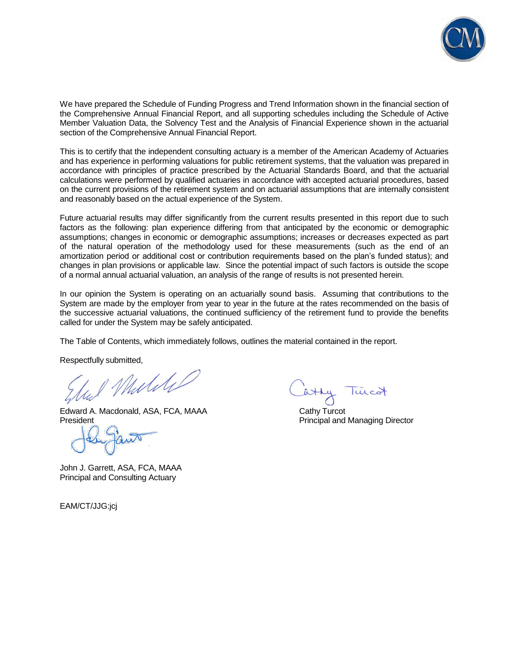

We have prepared the Schedule of Funding Progress and Trend Information shown in the financial section of the Comprehensive Annual Financial Report, and all supporting schedules including the Schedule of Active Member Valuation Data, the Solvency Test and the Analysis of Financial Experience shown in the actuarial section of the Comprehensive Annual Financial Report.

This is to certify that the independent consulting actuary is a member of the American Academy of Actuaries and has experience in performing valuations for public retirement systems, that the valuation was prepared in accordance with principles of practice prescribed by the Actuarial Standards Board, and that the actuarial calculations were performed by qualified actuaries in accordance with accepted actuarial procedures, based on the current provisions of the retirement system and on actuarial assumptions that are internally consistent and reasonably based on the actual experience of the System.

Future actuarial results may differ significantly from the current results presented in this report due to such factors as the following: plan experience differing from that anticipated by the economic or demographic assumptions; changes in economic or demographic assumptions; increases or decreases expected as part of the natural operation of the methodology used for these measurements (such as the end of an amortization period or additional cost or contribution requirements based on the plan's funded status); and changes in plan provisions or applicable law. Since the potential impact of such factors is outside the scope of a normal annual actuarial valuation, an analysis of the range of results is not presented herein.

In our opinion the System is operating on an actuarially sound basis. Assuming that contributions to the System are made by the employer from year to year in the future at the rates recommended on the basis of the successive actuarial valuations, the continued sufficiency of the retirement fund to provide the benefits called for under the System may be safely anticipated.

The Table of Contents, which immediately follows, outlines the material contained in the report.

Respectfully submitted,

Mulike

Edward A. Macdonald, ASA, FCA, MAAA Cathy Turcot **President** President **Principal and Managing Director** Principal and Managing Director

John J. Garrett, ASA, FCA, MAAA Principal and Consulting Actuary

EAM/CT/JJG:jcj

lucot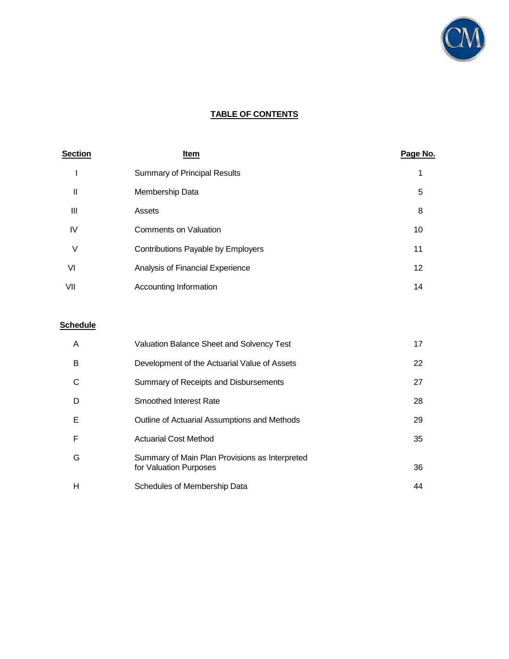

# **TABLE OF CONTENTS**

| <b>Section</b> | <u>Item</u>                         | Page No. |
|----------------|-------------------------------------|----------|
|                | <b>Summary of Principal Results</b> |          |
| Ш              | Membership Data                     | 5        |
| Ш              | Assets                              | 8        |
| IV             | <b>Comments on Valuation</b>        | 10       |
| ٧              | Contributions Payable by Employers  | 11       |
| VI             | Analysis of Financial Experience    | 12       |
| VII            | Accounting Information              | 14       |

# **Schedule**

| A | Valuation Balance Sheet and Solvency Test                                | 17 |
|---|--------------------------------------------------------------------------|----|
| B | Development of the Actuarial Value of Assets                             | 22 |
| C | Summary of Receipts and Disbursements                                    | 27 |
| D | <b>Smoothed Interest Rate</b>                                            | 28 |
| Е | Outline of Actuarial Assumptions and Methods                             | 29 |
| F | <b>Actuarial Cost Method</b>                                             | 35 |
| G | Summary of Main Plan Provisions as Interpreted<br>for Valuation Purposes | 36 |
| н | Schedules of Membership Data                                             | 44 |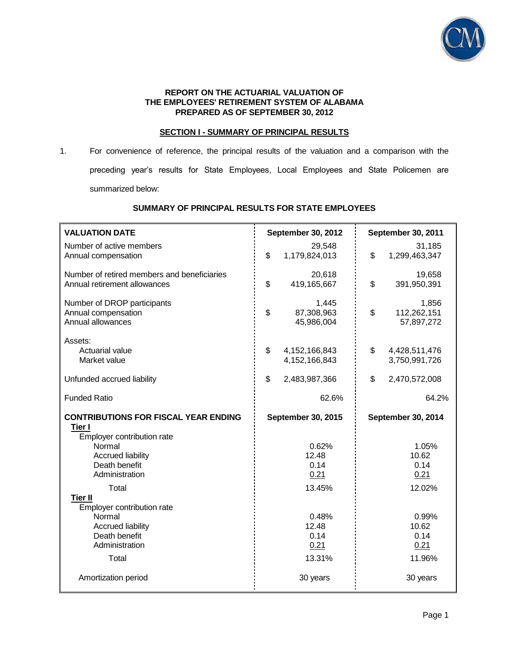

#### **REPORT ON THE ACTUARIAL VALUATION OF THE EMPLOYEES' RETIREMENT SYSTEM OF ALABAMA PREPARED AS OF SEPTEMBER 30, 2012**

#### **SECTION I - SUMMARY OF PRINCIPAL RESULTS**

1. For convenience of reference, the principal results of the valuation and a comparison with the preceding year's results for State Employees, Local Employees and State Policemen are summarized below:

# **SUMMARY OF PRINCIPAL RESULTS FOR STATE EMPLOYEES**

| <b>VALUATION DATE</b>                                                                                                                                        | September 30, 2012                                   | September 30, 2011                                   |
|--------------------------------------------------------------------------------------------------------------------------------------------------------------|------------------------------------------------------|------------------------------------------------------|
| Number of active members<br>Annual compensation                                                                                                              | 29,548<br>\$<br>1,179,824,013                        | 31,185<br>\$<br>1,299,463,347                        |
| Number of retired members and beneficiaries<br>Annual retirement allowances                                                                                  | 20,618<br>\$<br>419,165,667                          | 19,658<br>\$<br>391,950,391                          |
| Number of DROP participants<br>Annual compensation<br>Annual allowances                                                                                      | 1,445<br>\$<br>87,308,963<br>45,986,004              | 1,856<br>\$<br>112,262,151<br>57,897,272             |
| Assets:<br>Actuarial value<br>Market value                                                                                                                   | \$<br>4, 152, 166, 843<br>4,152,166,843              | \$<br>4,428,511,476<br>3,750,991,726                 |
| Unfunded accrued liability                                                                                                                                   | \$<br>2,483,987,366                                  | \$<br>2,470,572,008                                  |
| <b>Funded Ratio</b>                                                                                                                                          | 62.6%                                                | 64.2%                                                |
| <b>CONTRIBUTIONS FOR FISCAL YEAR ENDING</b><br>Tier I<br>Employer contribution rate<br>Normal<br><b>Accrued liability</b><br>Death benefit<br>Administration | September 30, 2015<br>0.62%<br>12.48<br>0.14<br>0.21 | September 30, 2014<br>1.05%<br>10.62<br>0.14<br>0.21 |
| Total                                                                                                                                                        | 13.45%                                               | 12.02%                                               |
| <b>Tier II</b><br>Employer contribution rate<br>Normal<br><b>Accrued liability</b><br>Death benefit<br>Administration<br>Total                               | 0.48%<br>12.48<br>0.14<br>0.21<br>13.31%             | 0.99%<br>10.62<br>0.14<br>0.21<br>11.96%             |
| Amortization period                                                                                                                                          | 30 years                                             | 30 years                                             |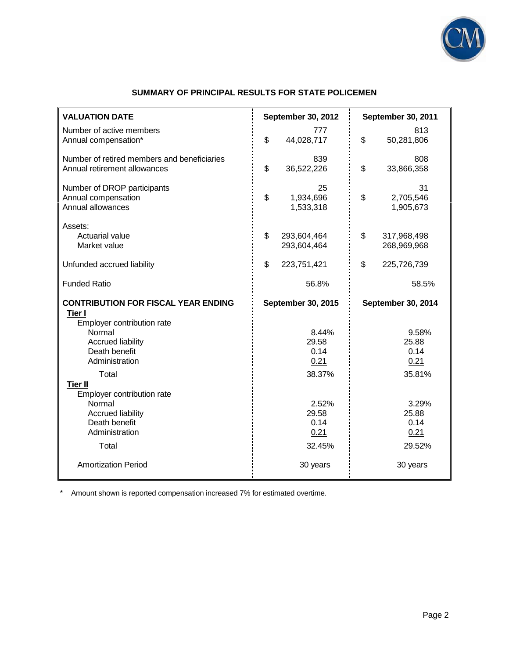

# **SUMMARY OF PRINCIPAL RESULTS FOR STATE POLICEMEN**

| <b>VALUATION DATE</b>                                                                                                          | September 30, 2012                       | September 30, 2011                       |
|--------------------------------------------------------------------------------------------------------------------------------|------------------------------------------|------------------------------------------|
| Number of active members<br>Annual compensation*                                                                               | 777<br>\$<br>44,028,717                  | 813<br>\$<br>50,281,806                  |
| Number of retired members and beneficiaries<br>Annual retirement allowances                                                    | 839<br>\$<br>36,522,226                  | 808<br>\$<br>33,866,358                  |
| Number of DROP participants<br>Annual compensation<br>Annual allowances                                                        | 25<br>\$<br>1,934,696<br>1,533,318       | 31<br>\$<br>2,705,546<br>1,905,673       |
| Assets:<br><b>Actuarial value</b><br>Market value                                                                              | \$<br>293,604,464<br>293,604,464         | \$<br>317,968,498<br>268,969,968         |
| Unfunded accrued liability                                                                                                     | \$<br>223,751,421                        | \$<br>225,726,739                        |
| <b>Funded Ratio</b>                                                                                                            | 56.8%                                    | 58.5%                                    |
| <b>CONTRIBUTION FOR FISCAL YEAR ENDING</b><br><b>Tier I</b>                                                                    | September 30, 2015                       | September 30, 2014                       |
| Employer contribution rate<br>Normal<br><b>Accrued liability</b><br>Death benefit<br>Administration                            | 8.44%<br>29.58<br>0.14<br>0.21           | 9.58%<br>25.88<br>0.14<br>0.21           |
| Total                                                                                                                          | 38.37%                                   | 35.81%                                   |
| <b>Tier II</b><br>Employer contribution rate<br>Normal<br><b>Accrued liability</b><br>Death benefit<br>Administration<br>Total | 2.52%<br>29.58<br>0.14<br>0.21<br>32.45% | 3.29%<br>25.88<br>0.14<br>0.21<br>29.52% |
| <b>Amortization Period</b>                                                                                                     | 30 years                                 | 30 years                                 |

\* Amount shown is reported compensation increased 7% for estimated overtime.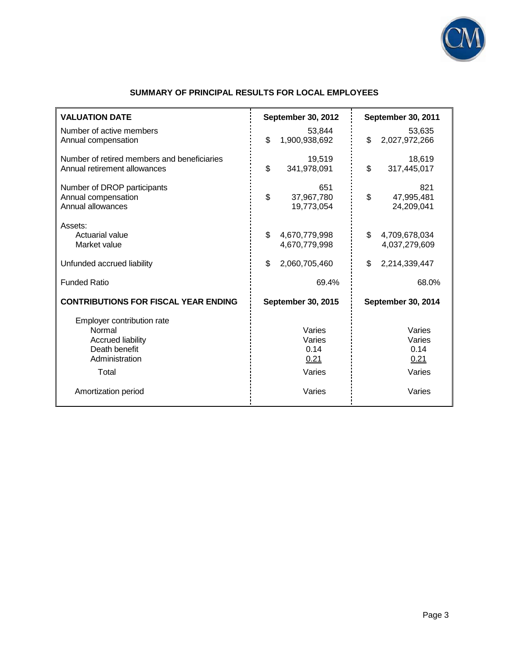

| <b>VALUATION DATE</b>                                                                                        | September 30, 2012                         | September 30, 2011                         |
|--------------------------------------------------------------------------------------------------------------|--------------------------------------------|--------------------------------------------|
| Number of active members<br>Annual compensation                                                              | 53,844<br>\$<br>1,900,938,692              | 53,635<br>\$<br>2,027,972,266              |
| Number of retired members and beneficiaries<br>Annual retirement allowances                                  | 19,519<br>\$<br>341,978,091                | 18,619<br>\$<br>317,445,017                |
| Number of DROP participants<br>Annual compensation<br>Annual allowances                                      | 651<br>\$<br>37,967,780<br>19,773,054      | 821<br>\$<br>47,995,481<br>24,209,041      |
| Assets:<br>Actuarial value<br>Market value                                                                   | \$<br>4,670,779,998<br>4,670,779,998       | \$<br>4,709,678,034<br>4,037,279,609       |
| Unfunded accrued liability                                                                                   | \$<br>2,060,705,460                        | \$<br>2,214,339,447                        |
| <b>Funded Ratio</b>                                                                                          | 69.4%                                      | 68.0%                                      |
| <b>CONTRIBUTIONS FOR FISCAL YEAR ENDING</b>                                                                  | <b>September 30, 2015</b>                  | September 30, 2014                         |
| Employer contribution rate<br>Normal<br><b>Accrued liability</b><br>Death benefit<br>Administration<br>Total | Varies<br>Varies<br>0.14<br>0.21<br>Varies | Varies<br>Varies<br>0.14<br>0.21<br>Varies |
| Amortization period                                                                                          | Varies                                     | Varies                                     |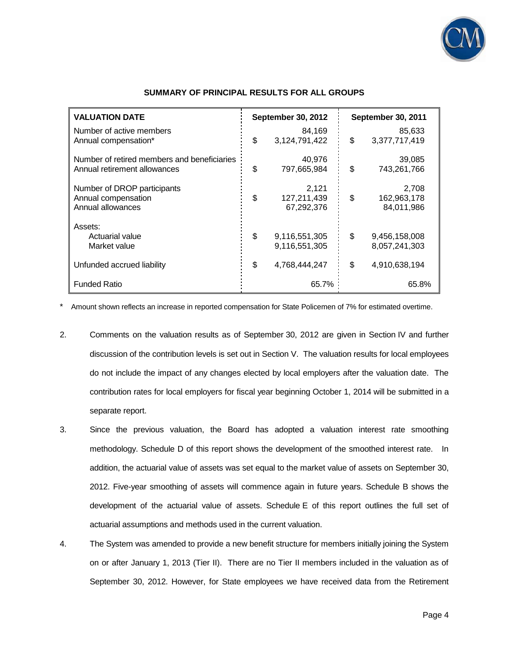

| <b>VALUATION DATE</b>                                                       | <b>September 30, 2012</b>                | September 30, 2011                       |
|-----------------------------------------------------------------------------|------------------------------------------|------------------------------------------|
| Number of active members<br>Annual compensation*                            | \$<br>84,169<br>3,124,791,422            | \$<br>85,633<br>3,377,717,419            |
| Number of retired members and beneficiaries<br>Annual retirement allowances | \$<br>40,976<br>797,665,984              | \$<br>39,085<br>743,261,766              |
| Number of DROP participants<br>Annual compensation<br>Annual allowances     | \$<br>2,121<br>127,211,439<br>67,292,376 | \$<br>2,708<br>162,963,178<br>84,011,986 |
| Assets:<br>Actuarial value<br>Market value                                  | \$<br>9,116,551,305<br>9,116,551,305     | \$<br>9.456,158,008<br>8,057,241,303     |
| Unfunded accrued liability                                                  | \$<br>4,768,444,247                      | \$<br>4,910,638,194                      |
| <b>Funded Ratio</b>                                                         | 65.7%                                    | 65.8%                                    |

#### **SUMMARY OF PRINCIPAL RESULTS FOR ALL GROUPS**

\* Amount shown reflects an increase in reported compensation for State Policemen of 7% for estimated overtime.

- 2. Comments on the valuation results as of September 30, 2012 are given in Section IV and further discussion of the contribution levels is set out in Section V. The valuation results for local employees do not include the impact of any changes elected by local employers after the valuation date. The contribution rates for local employers for fiscal year beginning October 1, 2014 will be submitted in a separate report.
- 3. Since the previous valuation, the Board has adopted a valuation interest rate smoothing methodology. Schedule D of this report shows the development of the smoothed interest rate. In addition, the actuarial value of assets was set equal to the market value of assets on September 30, 2012. Five-year smoothing of assets will commence again in future years. Schedule B shows the development of the actuarial value of assets. Schedule E of this report outlines the full set of actuarial assumptions and methods used in the current valuation.
- 4. The System was amended to provide a new benefit structure for members initially joining the System on or after January 1, 2013 (Tier II). There are no Tier II members included in the valuation as of September 30, 2012. However, for State employees we have received data from the Retirement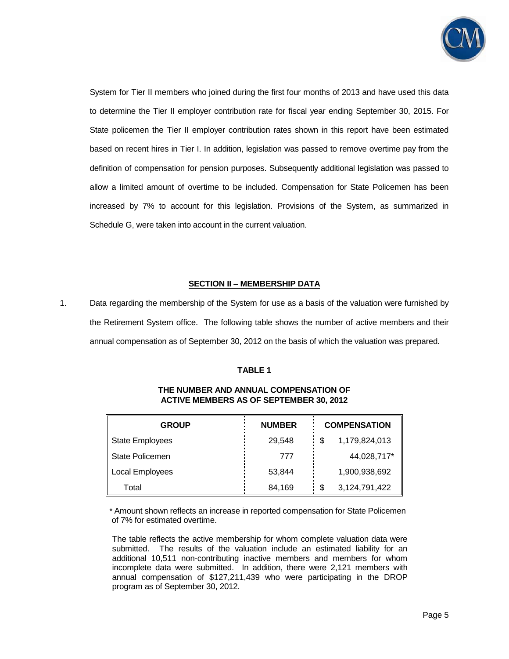

System for Tier II members who joined during the first four months of 2013 and have used this data to determine the Tier II employer contribution rate for fiscal year ending September 30, 2015. For State policemen the Tier II employer contribution rates shown in this report have been estimated based on recent hires in Tier I. In addition, legislation was passed to remove overtime pay from the definition of compensation for pension purposes. Subsequently additional legislation was passed to allow a limited amount of overtime to be included. Compensation for State Policemen has been increased by 7% to account for this legislation. Provisions of the System, as summarized in Schedule G, were taken into account in the current valuation.

## **SECTION II – MEMBERSHIP DATA**

1. Data regarding the membership of the System for use as a basis of the valuation were furnished by the Retirement System office. The following table shows the number of active members and their annual compensation as of September 30, 2012 on the basis of which the valuation was prepared.

#### **TABLE 1**

| <b>GROUP</b>           | <b>NUMBER</b> | <b>COMPENSATION</b> |
|------------------------|---------------|---------------------|
| <b>State Employees</b> | 29,548        | 1,179,824,013       |
| <b>State Policemen</b> | 777           | 44,028,717*         |
| Local Employees        | 53,844        | 1,900,938,692       |
| Total                  | 84,169        | 3,124,791,422       |

## **THE NUMBER AND ANNUAL COMPENSATION OF ACTIVE MEMBERS AS OF SEPTEMBER 30, 2012**

 \* Amount shown reflects an increase in reported compensation for State Policemen of 7% for estimated overtime.

The table reflects the active membership for whom complete valuation data were submitted. The results of the valuation include an estimated liability for an additional 10,511 non-contributing inactive members and members for whom incomplete data were submitted. In addition, there were 2,121 members with annual compensation of \$127,211,439 who were participating in the DROP program as of September 30, 2012.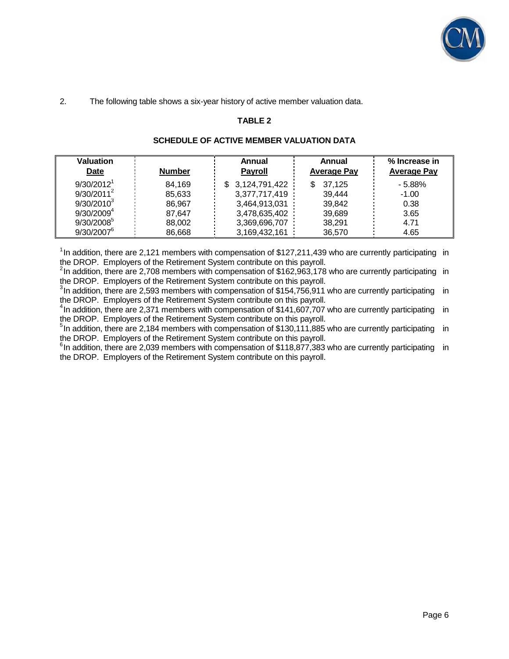

## 2. The following table shows a six-year history of active member valuation data.

#### **TABLE 2**

#### **SCHEDULE OF ACTIVE MEMBER VALUATION DATA**

| Valuation<br><b>Date</b> | <b>Number</b> | Annual<br><b>Payroll</b> | Annual<br><b>Average Pay</b> | % Increase in<br><b>Average Pay</b> |
|--------------------------|---------------|--------------------------|------------------------------|-------------------------------------|
| 9/30/2012 <sup>1</sup>   | 84.169        | 3,124,791,422            | 37.125<br>\$                 | $-5.88%$                            |
| $9/30/2011^2$            | 85.633        | 3,377,717,419            | 39.444                       | $-1.00$                             |
| $9/30/2010^3$            | 86.967        | 3,464,913,031            | 39.842                       | 0.38                                |
| $9/30/2009^4$            | 87.647        | 3,478,635,402            | 39,689                       | 3.65                                |
| $9/30/2008^5$            | 88,002        | 3,369,696,707            | 38,291                       | 4.71                                |
| $9/30/2007^{\circ}$      | 86.668        | 3,169,432,161            | 36,570                       | 4.65                                |

<sup>1</sup> In addition, there are 2,121 members with compensation of \$127,211,439 who are currently participating in the DROP. Employers of the Retirement System contribute on this payroll.

 $2$ In addition, there are 2,708 members with compensation of \$162,963,178 who are currently participating in the DROP. Employers of the Retirement System contribute on this payroll.

 $3$ In addition, there are 2,593 members with compensation of \$154,756,911 who are currently participating in the DROP. Employers of the Retirement System contribute on this payroll.

<sup>4</sup>In addition, there are 2,371 members with compensation of \$141,607,707 who are currently participating in the DROP. Employers of the Retirement System contribute on this payroll.

 $5$ In addition, there are 2,184 members with compensation of \$130,111,885 who are currently participating in the DROP. Employers of the Retirement System contribute on this payroll.

<sup>6</sup>In addition, there are 2,039 members with compensation of \$118,877,383 who are currently participating in the DROP. Employers of the Retirement System contribute on this payroll.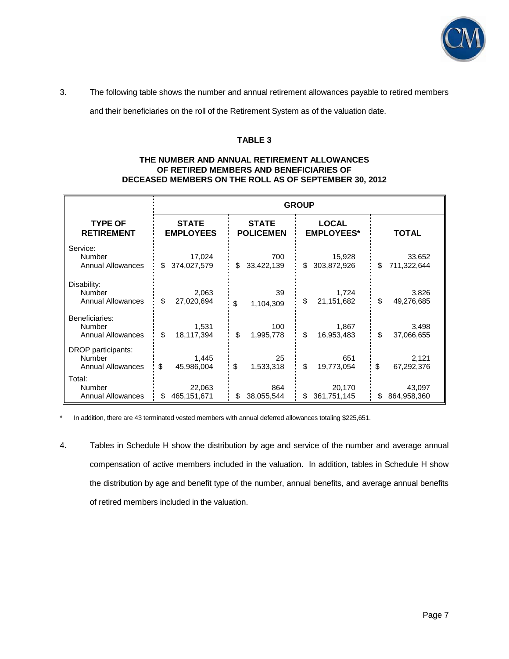

3. The following table shows the number and annual retirement allowances payable to retired members

and their beneficiaries on the roll of the Retirement System as of the valuation date.

#### **TABLE 3**

#### **THE NUMBER AND ANNUAL RETIREMENT ALLOWANCES OF RETIRED MEMBERS AND BENEFICIARIES OF DECEASED MEMBERS ON THE ROLL AS OF SEPTEMBER 30, 2012**

|                          | <b>GROUP</b>     |                  |                   |              |
|--------------------------|------------------|------------------|-------------------|--------------|
| <b>TYPE OF</b>           | <b>STATE</b>     | <b>STATE</b>     | <b>LOCAL</b>      | <b>TOTAL</b> |
| <b>RETIREMENT</b>        | <b>EMPLOYEES</b> | <b>POLICEMEN</b> | <b>EMPLOYEES*</b> |              |
| Service:                 | 17,024           | 700              | 15,928            | 33,652       |
| Number                   | \$               | 33,422,139       | 303,872,926       | \$           |
| <b>Annual Allowances</b> | 374,027,579      | \$               | \$                | 711,322,644  |
| Disability:              | 2,063            | 39               | 1,724             | 3,826        |
| Number                   | \$               | \$               | \$                | \$           |
| <b>Annual Allowances</b> | 27,020,694       | 1,104,309        | 21,151,682        | 49,276,685   |
| Beneficiaries:           | 1,531            | 100              | 1,867             | 3,498        |
| Number                   | \$               | \$               | \$                | \$           |
| <b>Annual Allowances</b> | 18,117,394       | 1,995,778        | 16,953,483        | 37,066,655   |
| DROP participants:       | 1,445            | 25               | 651               | 2,121        |
| Number                   | \$               | \$               | \$                | \$           |
| <b>Annual Allowances</b> | 45,986,004       | 1,533,318        | 19,773,054        | 67,292,376   |
| Total:                   | 22,063           | 864              | 20,170            | 43,097       |
| Number                   | \$               | \$               | 361,751,145       | \$           |
| <b>Annual Allowances</b> | 465,151,671      | 38,055,544       | \$                | 864,958,360  |

\* In addition, there are 43 terminated vested members with annual deferred allowances totaling \$225,651.

4. Tables in Schedule H show the distribution by age and service of the number and average annual compensation of active members included in the valuation. In addition, tables in Schedule H show the distribution by age and benefit type of the number, annual benefits, and average annual benefits of retired members included in the valuation.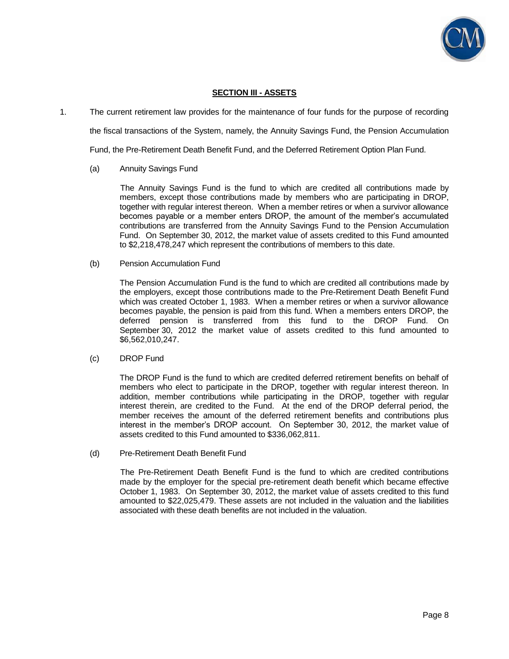

## **SECTION III - ASSETS**

1. The current retirement law provides for the maintenance of four funds for the purpose of recording

the fiscal transactions of the System, namely, the Annuity Savings Fund, the Pension Accumulation

Fund, the Pre-Retirement Death Benefit Fund, and the Deferred Retirement Option Plan Fund.

#### (a) Annuity Savings Fund

 The Annuity Savings Fund is the fund to which are credited all contributions made by members, except those contributions made by members who are participating in DROP, together with regular interest thereon. When a member retires or when a survivor allowance becomes payable or a member enters DROP, the amount of the member's accumulated contributions are transferred from the Annuity Savings Fund to the Pension Accumulation Fund. On September 30, 2012, the market value of assets credited to this Fund amounted to \$2,218,478,247 which represent the contributions of members to this date.

(b) Pension Accumulation Fund

 The Pension Accumulation Fund is the fund to which are credited all contributions made by the employers, except those contributions made to the Pre-Retirement Death Benefit Fund which was created October 1, 1983. When a member retires or when a survivor allowance becomes payable, the pension is paid from this fund. When a members enters DROP, the deferred pension is transferred from this fund to the DROP Fund. On September 30, 2012 the market value of assets credited to this fund amounted to \$6,562,010,247.

#### (c) DROP Fund

 The DROP Fund is the fund to which are credited deferred retirement benefits on behalf of members who elect to participate in the DROP, together with regular interest thereon. In addition, member contributions while participating in the DROP, together with regular interest therein, are credited to the Fund. At the end of the DROP deferral period, the member receives the amount of the deferred retirement benefits and contributions plus interest in the member's DROP account. On September 30, 2012, the market value of assets credited to this Fund amounted to \$336,062,811.

(d) Pre-Retirement Death Benefit Fund

 The Pre-Retirement Death Benefit Fund is the fund to which are credited contributions made by the employer for the special pre-retirement death benefit which became effective October 1, 1983. On September 30, 2012, the market value of assets credited to this fund amounted to \$22,025,479. These assets are not included in the valuation and the liabilities associated with these death benefits are not included in the valuation.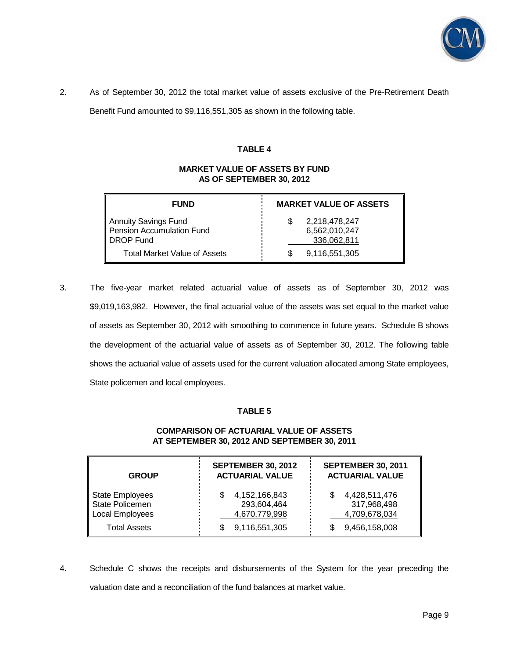

2. As of September 30, 2012 the total market value of assets exclusive of the Pre-Retirement Death

Benefit Fund amounted to \$9,116,551,305 as shown in the following table.

#### **TABLE 4**

## **MARKET VALUE OF ASSETS BY FUND AS OF SEPTEMBER 30, 2012**

| <b>FUND</b>                                                    | <b>MARKET VALUE OF ASSETS</b>                 |
|----------------------------------------------------------------|-----------------------------------------------|
| Annuity Savings Fund<br>Pension Accumulation Fund<br>DROP Fund | 2,218,478,247<br>6,562,010,247<br>336,062,811 |
| <b>Total Market Value of Assets</b>                            | 9,116,551,305                                 |

3. The five-year market related actuarial value of assets as of September 30, 2012 was \$9,019,163,982. However, the final actuarial value of the assets was set equal to the market value of assets as September 30, 2012 with smoothing to commence in future years. Schedule B shows the development of the actuarial value of assets as of September 30, 2012. The following table shows the actuarial value of assets used for the current valuation allocated among State employees, State policemen and local employees.

## **TABLE 5**

## **COMPARISON OF ACTUARIAL VALUE OF ASSETS AT SEPTEMBER 30, 2012 AND SEPTEMBER 30, 2011**

| <b>GROUP</b>                                                 | <b>SEPTEMBER 30, 2012</b><br><b>ACTUARIAL VALUE</b> | <b>SEPTEMBER 30, 2011</b><br><b>ACTUARIAL VALUE</b> |
|--------------------------------------------------------------|-----------------------------------------------------|-----------------------------------------------------|
| <b>State Employees</b><br>State Policemen<br>Local Employees | 4,152,166,843<br>293,604,464<br>4,670,779,998       | 4,428,511,476<br>317,968,498<br>4,709,678,034       |
| <b>Total Assets</b>                                          | 9,116,551,305                                       | 9,456,158,008                                       |

4. Schedule C shows the receipts and disbursements of the System for the year preceding the valuation date and a reconciliation of the fund balances at market value.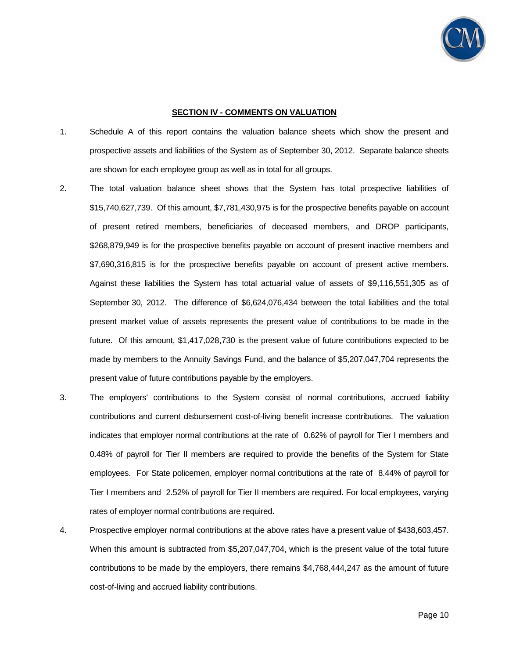

#### **SECTION IV - COMMENTS ON VALUATION**

- 1. Schedule A of this report contains the valuation balance sheets which show the present and prospective assets and liabilities of the System as of September 30, 2012. Separate balance sheets are shown for each employee group as well as in total for all groups.
- 2. The total valuation balance sheet shows that the System has total prospective liabilities of \$15,740,627,739. Of this amount, \$7,781,430,975 is for the prospective benefits payable on account of present retired members, beneficiaries of deceased members, and DROP participants, \$268,879,949 is for the prospective benefits payable on account of present inactive members and \$7,690,316,815 is for the prospective benefits payable on account of present active members. Against these liabilities the System has total actuarial value of assets of \$9,116,551,305 as of September 30, 2012. The difference of \$6,624,076,434 between the total liabilities and the total present market value of assets represents the present value of contributions to be made in the future. Of this amount, \$1,417,028,730 is the present value of future contributions expected to be made by members to the Annuity Savings Fund, and the balance of \$5,207,047,704 represents the present value of future contributions payable by the employers.
- 3. The employers' contributions to the System consist of normal contributions, accrued liability contributions and current disbursement cost-of-living benefit increase contributions. The valuation indicates that employer normal contributions at the rate of 0.62% of payroll for Tier I members and 0.48% of payroll for Tier II members are required to provide the benefits of the System for State employees. For State policemen, employer normal contributions at the rate of 8.44% of payroll for Tier I members and 2.52% of payroll for Tier II members are required. For local employees, varying rates of employer normal contributions are required.
- 4. Prospective employer normal contributions at the above rates have a present value of \$438,603,457. When this amount is subtracted from \$5,207,047,704, which is the present value of the total future contributions to be made by the employers, there remains \$4,768,444,247 as the amount of future cost-of-living and accrued liability contributions.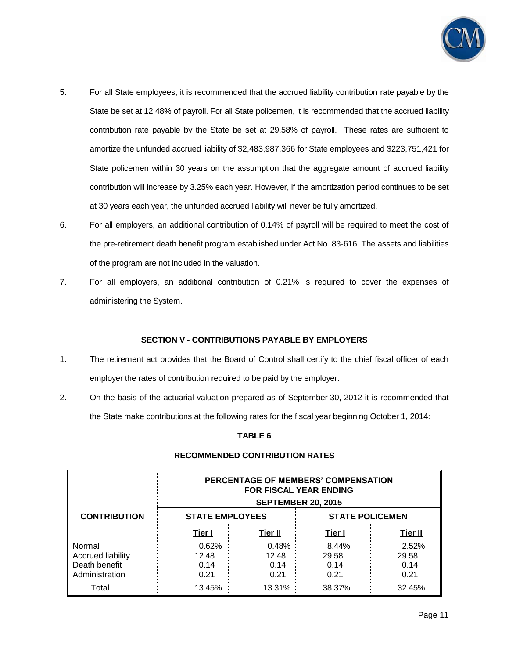

- 5. For all State employees, it is recommended that the accrued liability contribution rate payable by the State be set at 12.48% of payroll. For all State policemen, it is recommended that the accrued liability contribution rate payable by the State be set at 29.58% of payroll. These rates are sufficient to amortize the unfunded accrued liability of \$2,483,987,366 for State employees and \$223,751,421 for State policemen within 30 years on the assumption that the aggregate amount of accrued liability contribution will increase by 3.25% each year. However, if the amortization period continues to be set at 30 years each year, the unfunded accrued liability will never be fully amortized.
- 6. For all employers, an additional contribution of 0.14% of payroll will be required to meet the cost of the pre-retirement death benefit program established under Act No. 83-616. The assets and liabilities of the program are not included in the valuation.
- 7. For all employers, an additional contribution of 0.21% is required to cover the expenses of administering the System.

## **SECTION V - CONTRIBUTIONS PAYABLE BY EMPLOYERS**

- 1. The retirement act provides that the Board of Control shall certify to the chief fiscal officer of each employer the rates of contribution required to be paid by the employer.
- 2. On the basis of the actuarial valuation prepared as of September 30, 2012 it is recommended that the State make contributions at the following rates for the fiscal year beginning October 1, 2014:

## **TABLE 6**

## **RECOMMENDED CONTRIBUTION RATES**

|                          | PERCENTAGE OF MEMBERS' COMPENSATION<br><b>FOR FISCAL YEAR ENDING</b><br><b>SEPTEMBER 20, 2015</b> |                |               |         |  |  |
|--------------------------|---------------------------------------------------------------------------------------------------|----------------|---------------|---------|--|--|
| <b>CONTRIBUTION</b>      | <b>STATE EMPLOYEES</b><br><b>STATE POLICEMEN</b>                                                  |                |               |         |  |  |
|                          | Tier I                                                                                            | <b>Tier II</b> | <u>Tier I</u> | Tier II |  |  |
| Normal                   | 0.62%                                                                                             | 0.48%          | 8.44%         | 2.52%   |  |  |
| <b>Accrued liability</b> | 12.48                                                                                             | 12.48          | 29.58         | 29.58   |  |  |
| Death benefit            | 0.14                                                                                              | 0.14           | 0.14          | 0.14    |  |  |
| Administration           | 0.21                                                                                              | 0.21           | 0.21          | 0.21    |  |  |
| Total                    | 13.45%                                                                                            | 13.31%         | 38.37%        | 32.45%  |  |  |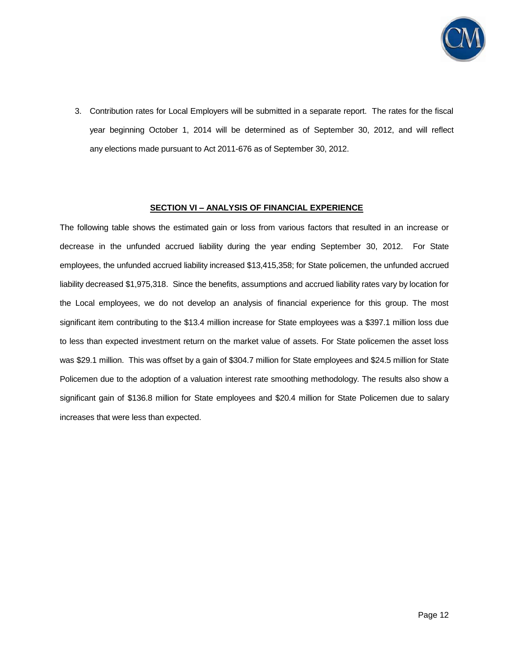

3. Contribution rates for Local Employers will be submitted in a separate report. The rates for the fiscal year beginning October 1, 2014 will be determined as of September 30, 2012, and will reflect any elections made pursuant to Act 2011-676 as of September 30, 2012.

#### **SECTION VI – ANALYSIS OF FINANCIAL EXPERIENCE**

The following table shows the estimated gain or loss from various factors that resulted in an increase or decrease in the unfunded accrued liability during the year ending September 30, 2012. For State employees, the unfunded accrued liability increased \$13,415,358; for State policemen, the unfunded accrued liability decreased \$1,975,318. Since the benefits, assumptions and accrued liability rates vary by location for the Local employees, we do not develop an analysis of financial experience for this group. The most significant item contributing to the \$13.4 million increase for State employees was a \$397.1 million loss due to less than expected investment return on the market value of assets. For State policemen the asset loss was \$29.1 million. This was offset by a gain of \$304.7 million for State employees and \$24.5 million for State Policemen due to the adoption of a valuation interest rate smoothing methodology. The results also show a significant gain of \$136.8 million for State employees and \$20.4 million for State Policemen due to salary increases that were less than expected.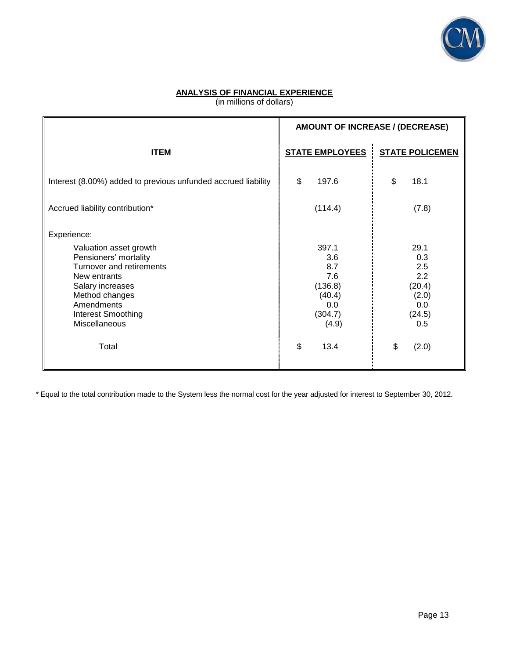

# **ANALYSIS OF FINANCIAL EXPERIENCE**

(in millions of dollars)

|                                                                                                                                                                                                              | AMOUNT OF INCREASE / (DECREASE)                                            |                                                                      |
|--------------------------------------------------------------------------------------------------------------------------------------------------------------------------------------------------------------|----------------------------------------------------------------------------|----------------------------------------------------------------------|
| <b>ITEM</b>                                                                                                                                                                                                  | <b>STATE EMPLOYEES</b>                                                     | <b>STATE POLICEMEN</b>                                               |
| Interest (8.00%) added to previous unfunded accrued liability                                                                                                                                                | \$<br>197.6                                                                | \$<br>18.1                                                           |
| Accrued liability contribution*                                                                                                                                                                              | (114.4)                                                                    | (7.8)                                                                |
| Experience:<br>Valuation asset growth<br>Pensioners' mortality<br>Turnover and retirements<br>New entrants<br>Salary increases<br>Method changes<br>Amendments<br><b>Interest Smoothing</b><br>Miscellaneous | 397.1<br>3.6<br>8.7<br>7.6<br>(136.8)<br>(40.4)<br>0.0<br>(304.7)<br>(4.9) | 29.1<br>0.3<br>2.5<br>2.2<br>(20.4)<br>(2.0)<br>0.0<br>(24.5)<br>0.5 |
| Total                                                                                                                                                                                                        | \$<br>13.4                                                                 | \$<br>(2.0)                                                          |

\* Equal to the total contribution made to the System less the normal cost for the year adjusted for interest to September 30, 2012.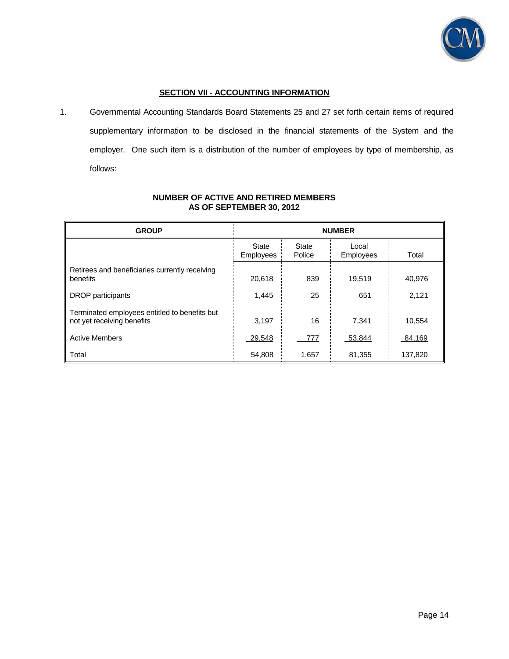

## **SECTION VII - ACCOUNTING INFORMATION**

1. Governmental Accounting Standards Board Statements 25 and 27 set forth certain items of required supplementary information to be disclosed in the financial statements of the System and the employer. One such item is a distribution of the number of employees by type of membership, as follows:

| <b>GROUP</b>                                                                | <b>NUMBER</b>      |                        |                    |         |  |
|-----------------------------------------------------------------------------|--------------------|------------------------|--------------------|---------|--|
|                                                                             | State<br>Employees | <b>State</b><br>Police | Local<br>Employees | Total   |  |
| Retirees and beneficiaries currently receiving<br>benefits                  | 20.618             | 839                    | 19,519             | 40.976  |  |
| <b>DROP</b> participants                                                    | 1,445              | 25                     | 651                | 2,121   |  |
| Terminated employees entitled to benefits but<br>not yet receiving benefits | 3,197              | 16                     | 7.341              | 10,554  |  |
| <b>Active Members</b>                                                       | 29,548             | 777                    | 53,844             | 84,169  |  |
| Total                                                                       | 54,808             | 1,657                  | 81,355             | 137,820 |  |

## **NUMBER OF ACTIVE AND RETIRED MEMBERS AS OF SEPTEMBER 30, 2012**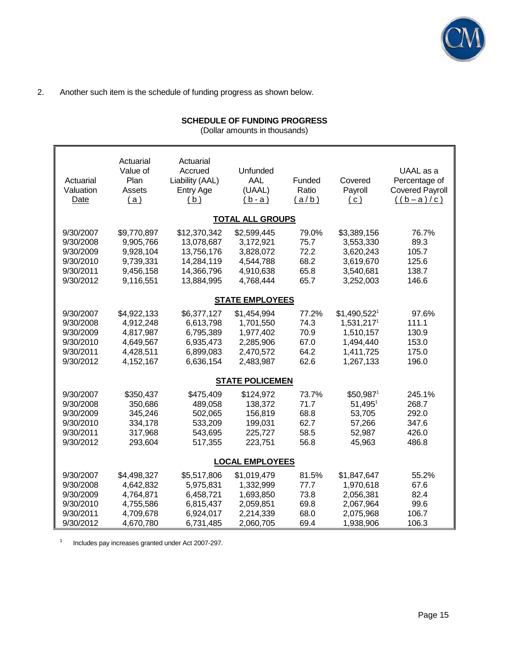

## 2. Another such item is the schedule of funding progress as shown below.

# **SCHEDULE OF FUNDING PROGRESS**

(Dollar amounts in thousands)

| Actuarial<br>Valuation<br>Date                                             | Actuarial<br>Value of<br>Plan<br>Assets<br>(a)                               | Actuarial<br>Accrued<br>Liability (AAL)<br>Entry Age<br>(b)                        | Unfunded<br>AAL<br>(UAAL)<br>$(b-a)$                                         | Funded<br>Ratio<br>(a/b)                      | Covered<br>Payroll<br>(c)                                                        | UAAL as a<br>Percentage of<br><b>Covered Payroll</b><br>$((b-a)/c)$ |
|----------------------------------------------------------------------------|------------------------------------------------------------------------------|------------------------------------------------------------------------------------|------------------------------------------------------------------------------|-----------------------------------------------|----------------------------------------------------------------------------------|---------------------------------------------------------------------|
|                                                                            |                                                                              |                                                                                    | <b>TOTAL ALL GROUPS</b>                                                      |                                               |                                                                                  |                                                                     |
| 9/30/2007<br>9/30/2008<br>9/30/2009<br>9/30/2010<br>9/30/2011<br>9/30/2012 | \$9,770,897<br>9,905,766<br>9,928,104<br>9,739,331<br>9,456,158<br>9,116,551 | \$12,370,342<br>13,078,687<br>13,756,176<br>14,284,119<br>14,366,796<br>13,884,995 | \$2,599,445<br>3,172,921<br>3,828,072<br>4,544,788<br>4,910,638<br>4,768,444 | 79.0%<br>75.7<br>72.2<br>68.2<br>65.8<br>65.7 | \$3,389,156<br>3,553,330<br>3,620,243<br>3,619,670<br>3,540,681<br>3,252,003     | 76.7%<br>89.3<br>105.7<br>125.6<br>138.7<br>146.6                   |
|                                                                            |                                                                              |                                                                                    | <b>STATE EMPLOYEES</b>                                                       |                                               |                                                                                  |                                                                     |
| 9/30/2007<br>9/30/2008<br>9/30/2009<br>9/30/2010<br>9/30/2011<br>9/30/2012 | \$4,922,133<br>4,912,248<br>4,817,987<br>4,649,567<br>4,428,511<br>4,152,167 | \$6,377,127<br>6,613,798<br>6,795,389<br>6,935,473<br>6,899,083<br>6,636,154       | \$1,454,994<br>1,701,550<br>1,977,402<br>2,285,906<br>2,470,572<br>2,483,987 | 77.2%<br>74.3<br>70.9<br>67.0<br>64.2<br>62.6 | $$1,490,522^1$<br>1,531,2171<br>1,510,157<br>1,494,440<br>1,411,725<br>1,267,133 | 97.6%<br>111.1<br>130.9<br>153.0<br>175.0<br>196.0                  |
|                                                                            |                                                                              |                                                                                    | <b>STATE POLICEMEN</b>                                                       |                                               |                                                                                  |                                                                     |
| 9/30/2007<br>9/30/2008<br>9/30/2009<br>9/30/2010<br>9/30/2011<br>9/30/2012 | \$350,437<br>350,686<br>345,246<br>334,178<br>317,968<br>293,604             | \$475,409<br>489,058<br>502,065<br>533,209<br>543,695<br>517,355                   | \$124,972<br>138,372<br>156,819<br>199,031<br>225,727<br>223,751             | 73.7%<br>71.7<br>68.8<br>62.7<br>58.5<br>56.8 | \$50,9871<br>$51,495$ <sup>1</sup><br>53,705<br>57,266<br>52,987<br>45,963       | 245.1%<br>268.7<br>292.0<br>347.6<br>426.0<br>486.8                 |
|                                                                            |                                                                              |                                                                                    | <b>LOCAL EMPLOYEES</b>                                                       |                                               |                                                                                  |                                                                     |
| 9/30/2007<br>9/30/2008<br>9/30/2009<br>9/30/2010<br>9/30/2011<br>9/30/2012 | \$4,498,327<br>4,642,832<br>4,764,871<br>4,755,586<br>4,709,678<br>4,670,780 | \$5,517,806<br>5,975,831<br>6,458,721<br>6,815,437<br>6,924,017<br>6,731,485       | \$1,019,479<br>1,332,999<br>1,693,850<br>2,059,851<br>2,214,339<br>2,060,705 | 81.5%<br>77.7<br>73.8<br>69.8<br>68.0<br>69.4 | \$1,847,647<br>1,970,618<br>2,056,381<br>2,067,964<br>2,075,968<br>1,938,906     | 55.2%<br>67.6<br>82.4<br>99.6<br>106.7<br>106.3                     |

1 Includes pay increases granted under Act 2007-297.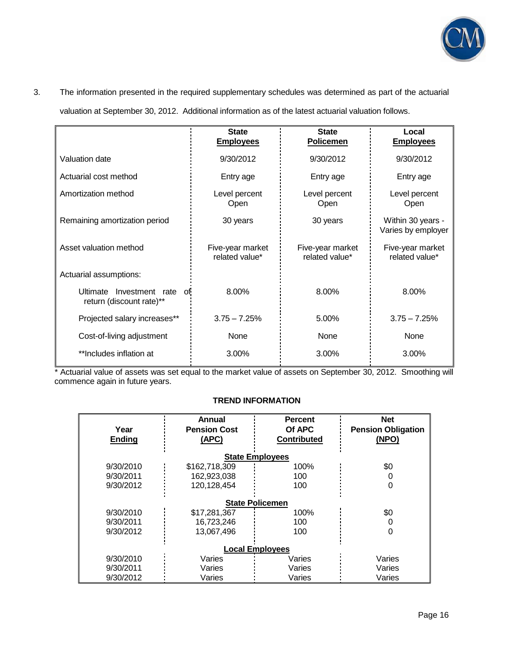

# 3. The information presented in the required supplementary schedules was determined as part of the actuarial

valuation at September 30, 2012. Additional information as of the latest actuarial valuation follows.

|                                                               | <b>State</b><br><b>Employees</b>   | <b>State</b><br>Policemen          | Local<br><b>Employees</b>               |
|---------------------------------------------------------------|------------------------------------|------------------------------------|-----------------------------------------|
| Valuation date                                                | 9/30/2012                          | 9/30/2012                          | 9/30/2012                               |
| Actuarial cost method                                         | Entry age                          | Entry age                          | Entry age                               |
| Amortization method                                           | Level percent<br>Open              | Level percent<br>Open              | Level percent<br>Open                   |
| Remaining amortization period                                 | 30 years                           | 30 years                           | Within 30 years -<br>Varies by employer |
| Asset valuation method                                        | Five-year market<br>related value* | Five-year market<br>related value* | Five-year market<br>related value*      |
| Actuarial assumptions:                                        |                                    |                                    |                                         |
| Investment rate<br>Ultimate<br>0ľ<br>return (discount rate)** | 8.00%                              | 8.00%                              | 8.00%                                   |
| Projected salary increases**                                  | $3.75 - 7.25%$                     | 5.00%                              | $3.75 - 7.25%$                          |
| Cost-of-living adjustment                                     | None                               | <b>None</b>                        | None                                    |
| **Includes inflation at                                       | 3.00%                              | 3.00%                              | 3.00%                                   |

 \* Actuarial value of assets was set equal to the market value of assets on September 30, 2012. Smoothing will commence again in future years.

## **TREND INFORMATION**

|                        | Annual              | <b>Percent</b>         | <b>Net</b>                |  |  |  |
|------------------------|---------------------|------------------------|---------------------------|--|--|--|
| Year                   | <b>Pension Cost</b> | Of APC                 | <b>Pension Obligation</b> |  |  |  |
| <b>Ending</b>          | (APC)               | <b>Contributed</b>     | (NPO)                     |  |  |  |
|                        |                     |                        |                           |  |  |  |
|                        |                     | <b>State Employees</b> |                           |  |  |  |
| 9/30/2010              | \$162,718,309       | 100%                   | \$0                       |  |  |  |
| 9/30/2011              | 162,923,038         | 100                    |                           |  |  |  |
| 9/30/2012              | 120,128,454         | 100                    | 0                         |  |  |  |
|                        |                     |                        |                           |  |  |  |
|                        |                     | <b>State Policemen</b> |                           |  |  |  |
| 9/30/2010              | \$17,281,367        | 100%                   | \$0                       |  |  |  |
| 9/30/2011              | 16,723,246          | 100                    |                           |  |  |  |
| 9/30/2012              | 13,067,496          | 100                    | ი                         |  |  |  |
|                        |                     |                        |                           |  |  |  |
| <b>Local Employees</b> |                     |                        |                           |  |  |  |
| 9/30/2010              | Varies              | Varies                 | Varies                    |  |  |  |
| 9/30/2011              | Varies              | Varies                 | Varies                    |  |  |  |
| 9/30/2012              | Varies              | Varies                 | Varies                    |  |  |  |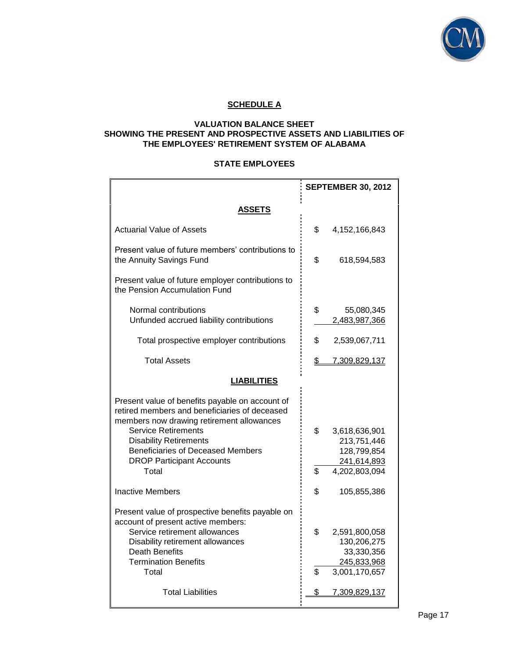

# **SCHEDULE A**

## **VALUATION BALANCE SHEET SHOWING THE PRESENT AND PROSPECTIVE ASSETS AND LIABILITIES OF THE EMPLOYEES' RETIREMENT SYSTEM OF ALABAMA**

## **STATE EMPLOYEES**

|                                                                                                                                                                                                                                                                                                       | <b>SEPTEMBER 30, 2012</b> |                                                                             |  |
|-------------------------------------------------------------------------------------------------------------------------------------------------------------------------------------------------------------------------------------------------------------------------------------------------------|---------------------------|-----------------------------------------------------------------------------|--|
| ASSETS                                                                                                                                                                                                                                                                                                |                           |                                                                             |  |
| <b>Actuarial Value of Assets</b>                                                                                                                                                                                                                                                                      | \$                        | 4,152,166,843                                                               |  |
| Present value of future members' contributions to<br>the Annuity Savings Fund                                                                                                                                                                                                                         | \$                        | 618,594,583                                                                 |  |
| Present value of future employer contributions to<br>the Pension Accumulation Fund                                                                                                                                                                                                                    |                           |                                                                             |  |
| Normal contributions<br>Unfunded accrued liability contributions                                                                                                                                                                                                                                      | \$                        | 55,080,345<br>2,483,987,366                                                 |  |
| Total prospective employer contributions                                                                                                                                                                                                                                                              | \$                        | 2,539,067,711                                                               |  |
| <b>Total Assets</b>                                                                                                                                                                                                                                                                                   | \$                        | 7,309,829,137                                                               |  |
| <b>LIABILITIES</b>                                                                                                                                                                                                                                                                                    |                           |                                                                             |  |
| Present value of benefits payable on account of<br>retired members and beneficiaries of deceased<br>members now drawing retirement allowances<br><b>Service Retirements</b><br><b>Disability Retirements</b><br><b>Beneficiaries of Deceased Members</b><br><b>DROP Participant Accounts</b><br>Total | \$<br>\$                  | 3,618,636,901<br>213,751,446<br>128,799,854<br>241,614,893<br>4,202,803,094 |  |
| <b>Inactive Members</b>                                                                                                                                                                                                                                                                               | \$                        | 105,855,386                                                                 |  |
| Present value of prospective benefits payable on<br>account of present active members:<br>Service retirement allowances<br>Disability retirement allowances<br><b>Death Benefits</b><br><b>Termination Benefits</b><br>Total                                                                          | \$<br>\$                  | 2,591,800,058<br>130,206,275<br>33,330,356<br>245,833,968<br>3,001,170,657  |  |
| <b>Total Liabilities</b>                                                                                                                                                                                                                                                                              | \$                        | 7,309,829,137                                                               |  |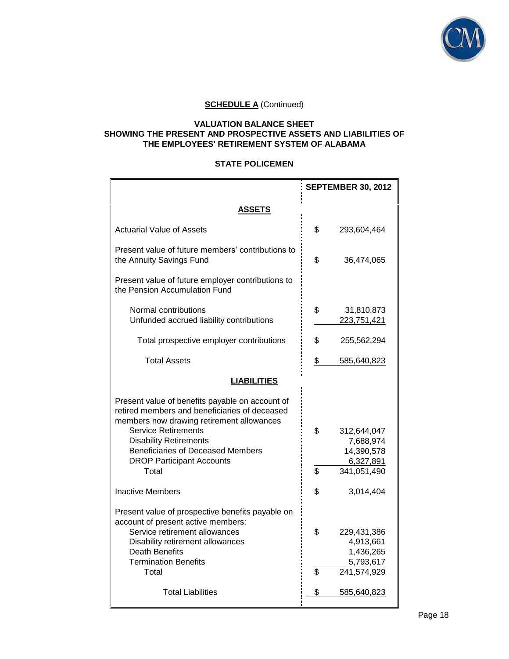

## **VALUATION BALANCE SHEET SHOWING THE PRESENT AND PROSPECTIVE ASSETS AND LIABILITIES OF THE EMPLOYEES' RETIREMENT SYSTEM OF ALABAMA**

#### **STATE POLICEMEN**

|                                                                                                                                                                                                                                                                                              | <b>SEPTEMBER 30, 2012</b> |                                                                   |  |  |  |
|----------------------------------------------------------------------------------------------------------------------------------------------------------------------------------------------------------------------------------------------------------------------------------------------|---------------------------|-------------------------------------------------------------------|--|--|--|
| <b>ASSETS</b>                                                                                                                                                                                                                                                                                |                           |                                                                   |  |  |  |
| <b>Actuarial Value of Assets</b>                                                                                                                                                                                                                                                             | \$                        | 293,604,464                                                       |  |  |  |
| Present value of future members' contributions to<br>the Annuity Savings Fund                                                                                                                                                                                                                | \$                        | 36,474,065                                                        |  |  |  |
| Present value of future employer contributions to<br>the Pension Accumulation Fund                                                                                                                                                                                                           |                           |                                                                   |  |  |  |
| Normal contributions<br>Unfunded accrued liability contributions                                                                                                                                                                                                                             | \$                        | 31,810,873<br>223,751,421                                         |  |  |  |
| Total prospective employer contributions                                                                                                                                                                                                                                                     | \$                        | 255,562,294                                                       |  |  |  |
| <b>Total Assets</b>                                                                                                                                                                                                                                                                          | \$                        | 585,640,823                                                       |  |  |  |
| <b>LIABILITIES</b>                                                                                                                                                                                                                                                                           |                           |                                                                   |  |  |  |
| Present value of benefits payable on account of<br>retired members and beneficiaries of deceased<br>members now drawing retirement allowances<br><b>Service Retirements</b><br><b>Disability Retirements</b><br><b>Beneficiaries of Deceased Members</b><br><b>DROP Participant Accounts</b> | \$                        | 312,644,047<br>7,688,974<br>14,390,578<br>6,327,891               |  |  |  |
| Total                                                                                                                                                                                                                                                                                        | \$                        | 341,051,490                                                       |  |  |  |
| <b>Inactive Members</b>                                                                                                                                                                                                                                                                      | \$                        | 3,014,404                                                         |  |  |  |
| Present value of prospective benefits payable on<br>account of present active members:<br>Service retirement allowances<br>Disability retirement allowances<br><b>Death Benefits</b><br><b>Termination Benefits</b><br>Total                                                                 | \$<br>\$                  | 229,431,386<br>4,913,661<br>1,436,265<br>5,793,617<br>241,574,929 |  |  |  |
| <b>Total Liabilities</b>                                                                                                                                                                                                                                                                     | \$                        | 585,640,823                                                       |  |  |  |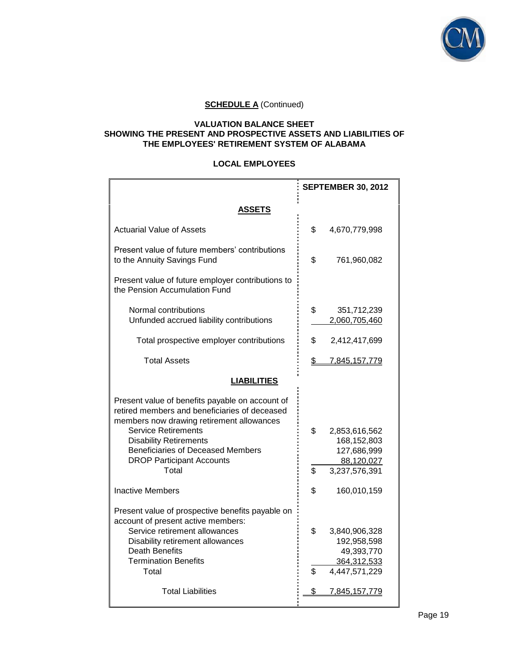

### **VALUATION BALANCE SHEET SHOWING THE PRESENT AND PROSPECTIVE ASSETS AND LIABILITIES OF THE EMPLOYEES' RETIREMENT SYSTEM OF ALABAMA**

## **LOCAL EMPLOYEES**

|                                                                                                                                                                                                                                                                                                       | <b>SEPTEMBER 30, 2012</b> |                                                                            |  |
|-------------------------------------------------------------------------------------------------------------------------------------------------------------------------------------------------------------------------------------------------------------------------------------------------------|---------------------------|----------------------------------------------------------------------------|--|
| <b>ASSETS</b>                                                                                                                                                                                                                                                                                         |                           |                                                                            |  |
| <b>Actuarial Value of Assets</b>                                                                                                                                                                                                                                                                      | \$                        | 4,670,779,998                                                              |  |
| Present value of future members' contributions<br>to the Annuity Savings Fund                                                                                                                                                                                                                         | \$                        | 761,960,082                                                                |  |
| Present value of future employer contributions to<br>the Pension Accumulation Fund                                                                                                                                                                                                                    |                           |                                                                            |  |
| Normal contributions<br>Unfunded accrued liability contributions                                                                                                                                                                                                                                      | \$                        | 351,712,239<br>2,060,705,460                                               |  |
| Total prospective employer contributions                                                                                                                                                                                                                                                              | \$                        | 2,412,417,699                                                              |  |
| <b>Total Assets</b>                                                                                                                                                                                                                                                                                   | $\mathfrak{S}$            | 7,845,157,779                                                              |  |
| <b>LIABILITIES</b>                                                                                                                                                                                                                                                                                    |                           |                                                                            |  |
| Present value of benefits payable on account of<br>retired members and beneficiaries of deceased<br>members now drawing retirement allowances<br><b>Service Retirements</b><br><b>Disability Retirements</b><br><b>Beneficiaries of Deceased Members</b><br><b>DROP Participant Accounts</b><br>Total | \$<br>\$                  | 2,853,616,562<br>168,152,803<br>127,686,999<br>88,120,027<br>3,237,576,391 |  |
| <b>Inactive Members</b>                                                                                                                                                                                                                                                                               | \$                        | 160,010,159                                                                |  |
| Present value of prospective benefits payable on<br>account of present active members:<br>Service retirement allowances<br>Disability retirement allowances<br>Death Benefits<br><b>Termination Benefits</b><br>Total                                                                                 | \$<br>\$                  | 3,840,906,328<br>192,958,598<br>49,393,770<br>364,312,533<br>4,447,571,229 |  |
| <b>Total Liabilities</b>                                                                                                                                                                                                                                                                              | \$                        | 7,845,157,779                                                              |  |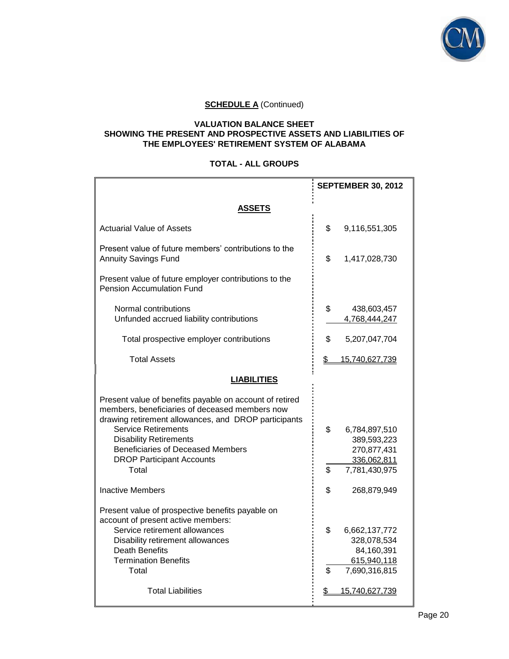

## **VALUATION BALANCE SHEET SHOWING THE PRESENT AND PROSPECTIVE ASSETS AND LIABILITIES OF THE EMPLOYEES' RETIREMENT SYSTEM OF ALABAMA**

## **TOTAL - ALL GROUPS**

|                                                                                                                                                                                                                                                                                                                           | <b>SEPTEMBER 30, 2012</b> |                                                                             |  |
|---------------------------------------------------------------------------------------------------------------------------------------------------------------------------------------------------------------------------------------------------------------------------------------------------------------------------|---------------------------|-----------------------------------------------------------------------------|--|
| <b>ASSETS</b>                                                                                                                                                                                                                                                                                                             |                           |                                                                             |  |
| <b>Actuarial Value of Assets</b>                                                                                                                                                                                                                                                                                          | \$                        | 9,116,551,305                                                               |  |
| Present value of future members' contributions to the<br><b>Annuity Savings Fund</b>                                                                                                                                                                                                                                      | \$                        | 1,417,028,730                                                               |  |
| Present value of future employer contributions to the<br><b>Pension Accumulation Fund</b>                                                                                                                                                                                                                                 |                           |                                                                             |  |
| Normal contributions<br>Unfunded accrued liability contributions                                                                                                                                                                                                                                                          | \$                        | 438,603,457<br>4,768,444,247                                                |  |
| Total prospective employer contributions                                                                                                                                                                                                                                                                                  | \$                        | 5,207,047,704                                                               |  |
| <b>Total Assets</b>                                                                                                                                                                                                                                                                                                       | \$                        | 15,740,627,739                                                              |  |
| <b>LIABILITIES</b>                                                                                                                                                                                                                                                                                                        |                           |                                                                             |  |
| Present value of benefits payable on account of retired<br>members, beneficiaries of deceased members now<br>drawing retirement allowances, and DROP participants<br><b>Service Retirements</b><br><b>Disability Retirements</b><br><b>Beneficiaries of Deceased Members</b><br><b>DROP Participant Accounts</b><br>Total | \$<br>\$                  | 6,784,897,510<br>389,593,223<br>270,877,431<br>336,062,811<br>7,781,430,975 |  |
| <b>Inactive Members</b>                                                                                                                                                                                                                                                                                                   | \$                        | 268,879,949                                                                 |  |
| Present value of prospective benefits payable on<br>account of present active members:<br>Service retirement allowances<br>Disability retirement allowances<br>Death Benefits<br><b>Termination Benefits</b><br>Total                                                                                                     | \$<br>\$                  | 6,662,137,772<br>328,078,534<br>84,160,391<br>615,940,118<br>7,690,316,815  |  |
| <b>Total Liabilities</b>                                                                                                                                                                                                                                                                                                  | \$                        | 15,740,627,739                                                              |  |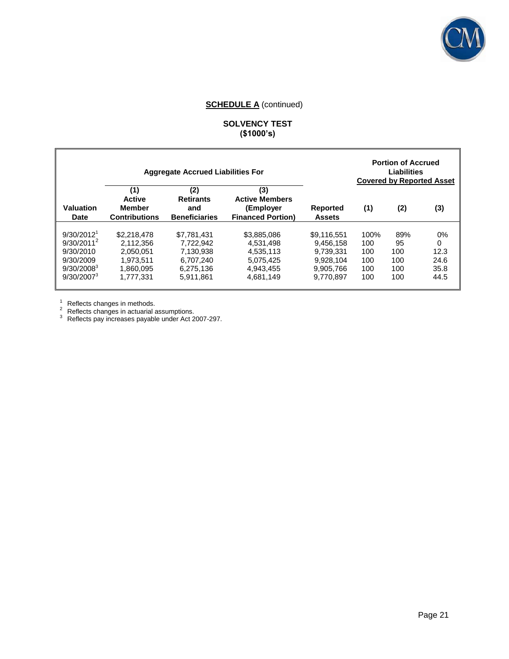

## **SOLVENCY TEST (\$1000's)**

|                                                                                                                       |                                                                              | <b>Aggregate Accrued Liabilities For</b>                                     |                                                                              |                                                                              |                                         | <b>Portion of Accrued</b><br>Liabilities<br><b>Covered by Reported Asset</b> |                                            |
|-----------------------------------------------------------------------------------------------------------------------|------------------------------------------------------------------------------|------------------------------------------------------------------------------|------------------------------------------------------------------------------|------------------------------------------------------------------------------|-----------------------------------------|------------------------------------------------------------------------------|--------------------------------------------|
| Valuation<br>Date                                                                                                     | (1)<br><b>Active</b><br><b>Member</b><br><b>Contributions</b>                | (2)<br><b>Retirants</b><br>and<br><b>Beneficiaries</b>                       | (3)<br><b>Active Members</b><br>(Employer<br><b>Financed Portion)</b>        | <b>Reported</b><br><b>Assets</b>                                             | (1)                                     | (2)                                                                          | (3)                                        |
| 9/30/2012 <sup>1</sup><br>$9/30/2011^2$<br>9/30/2010<br>9/30/2009<br>9/30/2008 <sup>3</sup><br>9/30/2007 <sup>3</sup> | \$2,218,478<br>2.112.356<br>2.050.051<br>1.973.511<br>1.860.095<br>1.777.331 | \$7.781.431<br>7.722.942<br>7.130.938<br>6.707.240<br>6.275.136<br>5.911.861 | \$3,885,086<br>4.531.498<br>4.535.113<br>5,075,425<br>4.943.455<br>4.681.149 | \$9.116.551<br>9.456.158<br>9.739.331<br>9.928.104<br>9.905.766<br>9.770.897 | 100%<br>100<br>100<br>100<br>100<br>100 | 89%<br>95<br>100<br>100<br>100<br>100                                        | $0\%$<br>0<br>12.3<br>24.6<br>35.8<br>44.5 |

 $1$  Reflects changes in methods.

 $2^2$  Reflects changes in actuarial assumptions.

 $3$  Reflects pay increases payable under Act 2007-297.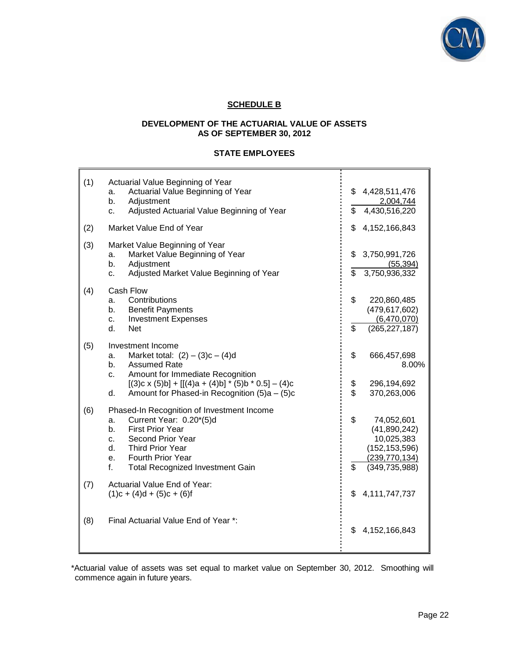

## **SCHEDULE B**

## **DEVELOPMENT OF THE ACTUARIAL VALUE OF ASSETS AS OF SEPTEMBER 30, 2012**

#### **STATE EMPLOYEES**

| (1) | Actuarial Value Beginning of Year<br>Actuarial Value Beginning of Year<br>a.<br>Adjustment<br>b.<br>Adjusted Actuarial Value Beginning of Year<br>C.                                                                                                             | \$<br>\$            | 4,428,511,476<br>2,004,744<br>4,430,516,220                                                       |
|-----|------------------------------------------------------------------------------------------------------------------------------------------------------------------------------------------------------------------------------------------------------------------|---------------------|---------------------------------------------------------------------------------------------------|
| (2) | Market Value End of Year                                                                                                                                                                                                                                         | \$                  | 4,152,166,843                                                                                     |
| (3) | Market Value Beginning of Year<br>Market Value Beginning of Year<br>a.<br>Adjustment<br>b.<br>Adjusted Market Value Beginning of Year<br>c.                                                                                                                      | \$<br>$\mathsf{\$}$ | 3,750,991,726<br>(55, 394)<br>3,750,936,332                                                       |
| (4) | Cash Flow<br>Contributions<br>a.<br><b>Benefit Payments</b><br>b.<br><b>Investment Expenses</b><br>c.<br>d.<br><b>Net</b>                                                                                                                                        | \$<br>\$            | 220,860,485<br>(479, 617, 602)<br>(6,470,070)<br>(265, 227, 187)                                  |
| (5) | Investment Income<br>Market total: $(2) - (3)c - (4)d$<br>a.<br><b>Assumed Rate</b><br>b.<br>Amount for Immediate Recognition<br>C.<br>$[(3)c \times (5)b] + [[(4)a + (4)b] * (5)b * 0.5] - (4)c$<br>Amount for Phased-in Recognition (5)a - (5)c<br>d.          | \$<br>\$<br>\$      | 666,457,698<br>8.00%<br>296,194,692<br>370,263,006                                                |
| (6) | Phased-In Recognition of Investment Income<br>Current Year: 0.20*(5)d<br>a.<br><b>First Prior Year</b><br>b.<br>Second Prior Year<br>$\mathbf{C}$ .<br><b>Third Prior Year</b><br>d.<br>Fourth Prior Year<br>e.<br>f.<br><b>Total Recognized Investment Gain</b> | \$<br>\$            | 74,052,601<br>(41,890,242)<br>10,025,383<br>(152, 153, 596)<br>(239, 770, 134)<br>(349, 735, 988) |
| (7) | Actuarial Value End of Year:<br>$(1)c + (4)d + (5)c + (6)f$                                                                                                                                                                                                      | \$                  | 4,111,747,737                                                                                     |
| (8) | Final Actuarial Value End of Year *:                                                                                                                                                                                                                             | \$                  | 4,152,166,843                                                                                     |

\*Actuarial value of assets was set equal to market value on September 30, 2012. Smoothing will commence again in future years.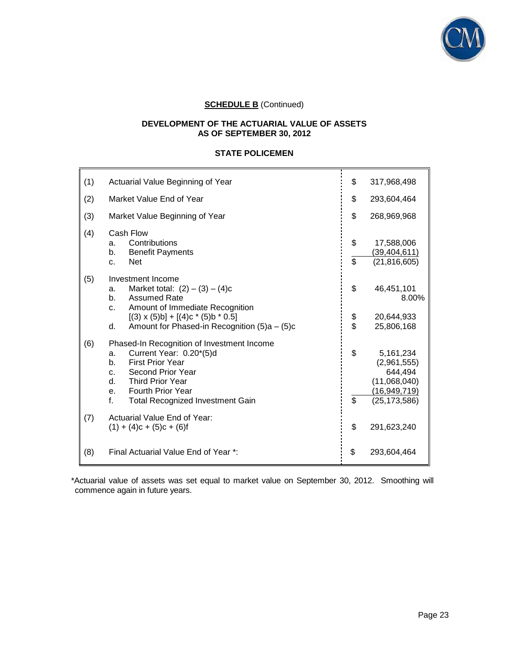

#### **DEVELOPMENT OF THE ACTUARIAL VALUE OF ASSETS AS OF SEPTEMBER 30, 2012**

## **STATE POLICEMEN**

| (1) | Actuarial Value Beginning of Year                                                                                                                                                                                                                           | \$       | 317,968,498                                                                           |
|-----|-------------------------------------------------------------------------------------------------------------------------------------------------------------------------------------------------------------------------------------------------------------|----------|---------------------------------------------------------------------------------------|
| (2) | Market Value End of Year                                                                                                                                                                                                                                    | \$       | 293,604,464                                                                           |
| (3) | Market Value Beginning of Year                                                                                                                                                                                                                              | \$       | 268,969,968                                                                           |
| (4) | Cash Flow<br>Contributions<br>a.<br><b>Benefit Payments</b><br>b.<br><b>Net</b><br>$C_{-}$                                                                                                                                                                  | \$<br>\$ | 17,588,006<br>(39, 404, 611)<br>(21, 816, 605)                                        |
| (5) | Investment Income<br>Market total: $(2) - (3) - (4)c$<br>a.<br><b>Assumed Rate</b><br>b.<br>Amount of Immediate Recognition<br>C.<br>$[(3) \times (5) \text{b}] + [(4) \text{c} * (5) \text{b} * 0.5]$                                                      | \$       | 46,451,101<br>8.00%<br>20,644,933                                                     |
|     | Amount for Phased-in Recognition (5)a - (5)c<br>d.                                                                                                                                                                                                          | \$<br>\$ | 25,806,168                                                                            |
| (6) | Phased-In Recognition of Investment Income<br>Current Year: 0.20*(5)d<br>a.<br><b>First Prior Year</b><br>b.<br>Second Prior Year<br>C.<br>d.<br><b>Third Prior Year</b><br><b>Fourth Prior Year</b><br>e.<br>f.<br><b>Total Recognized Investment Gain</b> | \$<br>\$ | 5,161,234<br>(2,961,555)<br>644,494<br>(11,068,040)<br>(16,949,719)<br>(25, 173, 586) |
| (7) | Actuarial Value End of Year:<br>$(1) + (4)c + (5)c + (6)f$                                                                                                                                                                                                  | \$       | 291,623,240                                                                           |
| (8) | Final Actuarial Value End of Year *:                                                                                                                                                                                                                        | \$       | 293,604,464                                                                           |

\*Actuarial value of assets was set equal to market value on September 30, 2012. Smoothing will commence again in future years.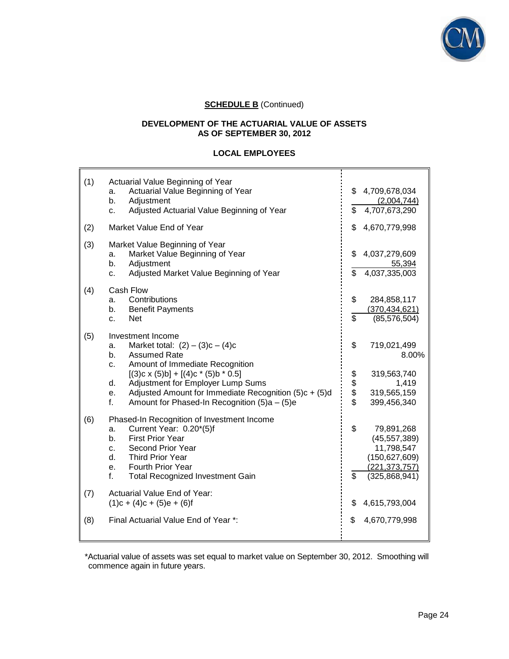

#### **DEVELOPMENT OF THE ACTUARIAL VALUE OF ASSETS AS OF SEPTEMBER 30, 2012**

## **LOCAL EMPLOYEES**

| (1) | Actuarial Value Beginning of Year<br>Actuarial Value Beginning of Year<br>a.<br>b.<br>Adjustment<br>Adjusted Actuarial Value Beginning of Year<br>c.                                                                                                                                                                                                                   | \$             | \$4,709,678,034<br>(2,004,744)<br>4,707,673,290                                                   |
|-----|------------------------------------------------------------------------------------------------------------------------------------------------------------------------------------------------------------------------------------------------------------------------------------------------------------------------------------------------------------------------|----------------|---------------------------------------------------------------------------------------------------|
| (2) | Market Value End of Year                                                                                                                                                                                                                                                                                                                                               | \$             | 4,670,779,998                                                                                     |
| (3) | Market Value Beginning of Year<br>Market Value Beginning of Year<br>a.<br>b.<br>Adjustment<br>Adjusted Market Value Beginning of Year<br>c.                                                                                                                                                                                                                            | \$<br>\$       | 4,037,279,609<br>55,394<br>4,037,335,003                                                          |
| (4) | Cash Flow<br>Contributions<br>a.<br>b.<br><b>Benefit Payments</b><br><b>Net</b><br>c.                                                                                                                                                                                                                                                                                  | \$<br>\$       | 284,858,117<br>(370, 434, 621)<br>(85, 576, 504)                                                  |
| (5) | Investment Income<br>Market total: $(2) - (3)c - (4)c$<br>a.<br>b.<br><b>Assumed Rate</b><br>Amount of Immediate Recognition<br>C <sub>1</sub><br>$[(3)c \times (5)b] + [(4)c \cdot (5)b \cdot 0.5]$<br>Adjustment for Employer Lump Sums<br>d.<br>Adjusted Amount for Immediate Recognition (5)c + (5)d<br>е.<br>f.<br>Amount for Phased-In Recognition $(5)a - (5)e$ | \$<br>\$\$\$\$ | 719,021,499<br>$8.00\%$<br>319,563,740<br>1,419<br>319,565,159<br>399,456,340                     |
| (6) | Phased-In Recognition of Investment Income<br>Current Year: 0.20*(5)f<br>a.<br><b>First Prior Year</b><br>b.<br>Second Prior Year<br>C.<br>d.<br><b>Third Prior Year</b><br><b>Fourth Prior Year</b><br>е.<br>f.<br><b>Total Recognized Investment Gain</b>                                                                                                            | \$<br>\$       | 79,891,268<br>(45, 557, 389)<br>11,798,547<br>(150, 627, 609)<br>(221, 373, 757)<br>(325,868,941) |
| (7) | Actuarial Value End of Year:<br>$(1)c + (4)c + (5)e + (6)f$                                                                                                                                                                                                                                                                                                            | \$             | 4,615,793,004                                                                                     |
| (8) | Final Actuarial Value End of Year *:                                                                                                                                                                                                                                                                                                                                   | \$             | 4,670,779,998                                                                                     |

 \*Actuarial value of assets was set equal to market value on September 30, 2012. Smoothing will commence again in future years.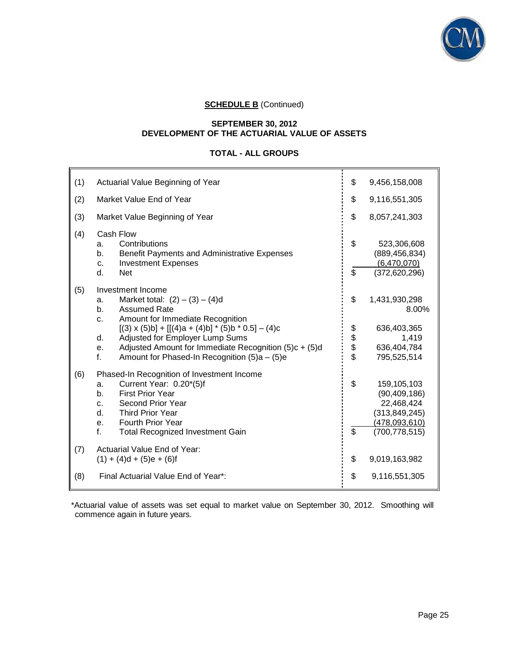

#### **SEPTEMBER 30, 2012 DEVELOPMENT OF THE ACTUARIAL VALUE OF ASSETS**

## **TOTAL - ALL GROUPS**

| (1) | Actuarial Value Beginning of Year                                                                                                                                                                                                                           | \$                    | 9,456,158,008                                                                                      |
|-----|-------------------------------------------------------------------------------------------------------------------------------------------------------------------------------------------------------------------------------------------------------------|-----------------------|----------------------------------------------------------------------------------------------------|
| (2) | Market Value End of Year                                                                                                                                                                                                                                    | \$                    | 9,116,551,305                                                                                      |
| (3) | Market Value Beginning of Year                                                                                                                                                                                                                              | \$                    | 8,057,241,303                                                                                      |
| (4) | Cash Flow<br>Contributions<br>a.<br>Benefit Payments and Administrative Expenses<br>b.<br><b>Investment Expenses</b><br>c.<br>d.<br><b>Net</b>                                                                                                              | \$<br>$\overline{\$}$ | 523,306,608<br>(889, 456, 834)<br>(6,470,070)<br>(372, 620, 296)                                   |
| (5) | Investment Income<br>Market total: $(2) - (3) - (4)d$<br>a.<br><b>Assumed Rate</b><br>b.<br>Amount for Immediate Recognition<br>c.                                                                                                                          | \$                    | 1,431,930,298<br>8.00%                                                                             |
|     | $[(3) \times (5)b] + [[(4)a + (4)b] * (5)b * 0.5] - (4)c$<br>Adjusted for Employer Lump Sums<br>d.<br>Adjusted Amount for Immediate Recognition $(5)c + (5)d$<br>е.<br>f.<br>Amount for Phased-In Recognition $(5)a - (5)e$                                 | \$\$\$\$              | 636,403,365<br>1,419<br>636,404,784<br>795,525,514                                                 |
| (6) | Phased-In Recognition of Investment Income<br>Current Year: 0.20*(5)f<br>a.<br><b>First Prior Year</b><br>b.<br>Second Prior Year<br>C.<br><b>Third Prior Year</b><br>d.<br><b>Fourth Prior Year</b><br>е.<br>f.<br><b>Total Recognized Investment Gain</b> | \$<br>\$              | 159,105,103<br>(90, 409, 186)<br>22,468,424<br>(313, 849, 245)<br>(478,093,610)<br>(700, 778, 515) |
| (7) | Actuarial Value End of Year:<br>$(1) + (4)d + (5)e + (6)f$                                                                                                                                                                                                  | \$                    | 9,019,163,982                                                                                      |
| (8) | Final Actuarial Value End of Year*:                                                                                                                                                                                                                         | \$                    | 9,116,551,305                                                                                      |

\*Actuarial value of assets was set equal to market value on September 30, 2012. Smoothing will commence again in future years.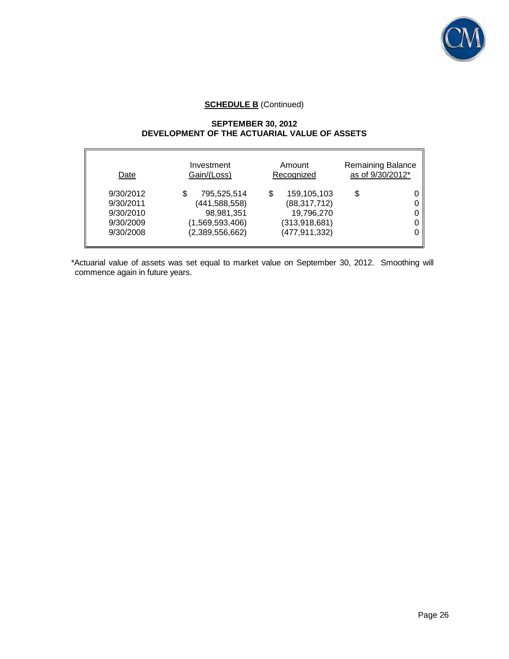

## **SEPTEMBER 30, 2012 DEVELOPMENT OF THE ACTUARIAL VALUE OF ASSETS**

| Date                                                          | Investment                                                                              | Amount                                                                                 | <b>Remaining Balance</b> |
|---------------------------------------------------------------|-----------------------------------------------------------------------------------------|----------------------------------------------------------------------------------------|--------------------------|
|                                                               | Gain/(Loss)                                                                             | Recognized                                                                             | as of 9/30/2012*         |
| 9/30/2012<br>9/30/2011<br>9/30/2010<br>9/30/2009<br>9/30/2008 | 795,525,514<br>S<br>(441, 588, 558)<br>98,981,351<br>(1,569,593,406)<br>(2,389,556,662) | 159,105,103<br>S<br>(88, 317, 712)<br>19,796,270<br>(313, 918, 681)<br>(477, 911, 332) | \$                       |

\*Actuarial value of assets was set equal to market value on September 30, 2012. Smoothing will commence again in future years.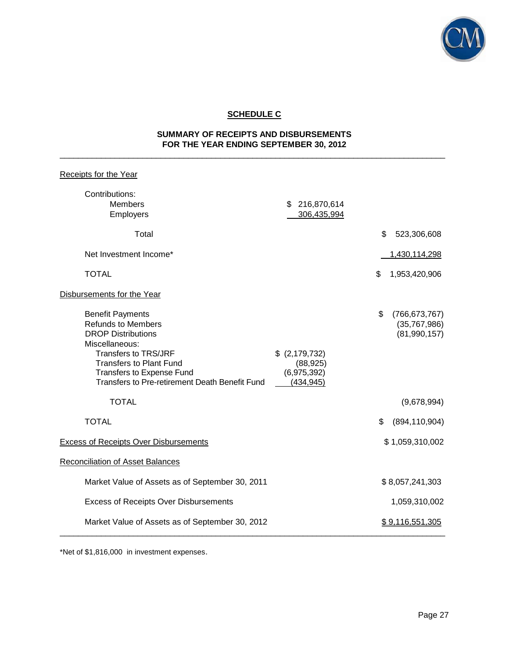

# **SCHEDULE C**

## **SUMMARY OF RECEIPTS AND DISBURSEMENTS FOR THE YEAR ENDING SEPTEMBER 30, 2012** \_\_\_\_\_\_\_\_\_\_\_\_\_\_\_\_\_\_\_\_\_\_\_\_\_\_\_\_\_\_\_\_\_\_\_\_\_\_\_\_\_\_\_\_\_\_\_\_\_\_\_\_\_\_\_\_\_\_\_\_\_\_\_\_\_\_\_\_\_\_\_\_\_\_\_\_\_\_\_\_\_\_\_\_

| <b>Receipts for the Year</b>                                                                                                                                                                                                                                        |                                                          |                                                                      |
|---------------------------------------------------------------------------------------------------------------------------------------------------------------------------------------------------------------------------------------------------------------------|----------------------------------------------------------|----------------------------------------------------------------------|
| Contributions:<br><b>Members</b><br>Employers                                                                                                                                                                                                                       | \$216,870,614<br>306,435,994                             |                                                                      |
| Total                                                                                                                                                                                                                                                               |                                                          | \$<br>523,306,608                                                    |
| Net Investment Income*                                                                                                                                                                                                                                              |                                                          | 1,430,114,298                                                        |
| <b>TOTAL</b>                                                                                                                                                                                                                                                        |                                                          | \$<br>1,953,420,906                                                  |
| Disbursements for the Year                                                                                                                                                                                                                                          |                                                          |                                                                      |
| <b>Benefit Payments</b><br><b>Refunds to Members</b><br><b>DROP Distributions</b><br>Miscellaneous:<br><b>Transfers to TRS/JRF</b><br><b>Transfers to Plant Fund</b><br>Transfers to Expense Fund<br>Transfers to Pre-retirement Death Benefit Fund<br><b>TOTAL</b> | \$ (2,179,732)<br>(88, 925)<br>(6,975,392)<br>(434, 945) | \$<br>(766, 673, 767)<br>(35,767,986)<br>(81,990,157)<br>(9,678,994) |
|                                                                                                                                                                                                                                                                     |                                                          |                                                                      |
| <b>TOTAL</b>                                                                                                                                                                                                                                                        |                                                          | (894, 110, 904)<br>\$                                                |
| <b>Excess of Receipts Over Disbursements</b>                                                                                                                                                                                                                        |                                                          | \$1,059,310,002                                                      |
| <b>Reconciliation of Asset Balances</b>                                                                                                                                                                                                                             |                                                          |                                                                      |
| Market Value of Assets as of September 30, 2011                                                                                                                                                                                                                     |                                                          | \$8,057,241,303                                                      |
| <b>Excess of Receipts Over Disbursements</b>                                                                                                                                                                                                                        |                                                          | 1,059,310,002                                                        |
| Market Value of Assets as of September 30, 2012                                                                                                                                                                                                                     |                                                          | \$9,116,551,305                                                      |

\*Net of \$1,816,000 in investment expenses.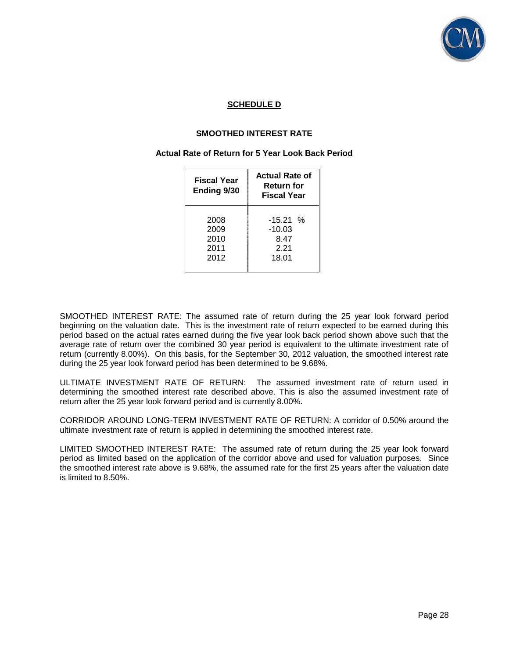

## **SCHEDULE D**

#### **SMOOTHED INTEREST RATE**

#### **Actual Rate of Return for 5 Year Look Back Period**

| Fiscal Year<br>Ending 9/30 | <b>Actual Rate of</b><br><b>Return for</b><br><b>Fiscal Year</b> |  |  |
|----------------------------|------------------------------------------------------------------|--|--|
| 2008                       | $-15.21%$                                                        |  |  |
| 2009                       | $-10.03$                                                         |  |  |
| 2010                       | 8.47                                                             |  |  |
| 2011                       | 2.21                                                             |  |  |
| 2012                       | 18.01                                                            |  |  |

SMOOTHED INTEREST RATE: The assumed rate of return during the 25 year look forward period beginning on the valuation date. This is the investment rate of return expected to be earned during this period based on the actual rates earned during the five year look back period shown above such that the average rate of return over the combined 30 year period is equivalent to the ultimate investment rate of return (currently 8.00%). On this basis, for the September 30, 2012 valuation, the smoothed interest rate during the 25 year look forward period has been determined to be 9.68%.

ULTIMATE INVESTMENT RATE OF RETURN: The assumed investment rate of return used in determining the smoothed interest rate described above. This is also the assumed investment rate of return after the 25 year look forward period and is currently 8.00%.

CORRIDOR AROUND LONG-TERM INVESTMENT RATE OF RETURN: A corridor of 0.50% around the ultimate investment rate of return is applied in determining the smoothed interest rate.

LIMITED SMOOTHED INTEREST RATE: The assumed rate of return during the 25 year look forward period as limited based on the application of the corridor above and used for valuation purposes. Since the smoothed interest rate above is 9.68%, the assumed rate for the first 25 years after the valuation date is limited to 8.50%.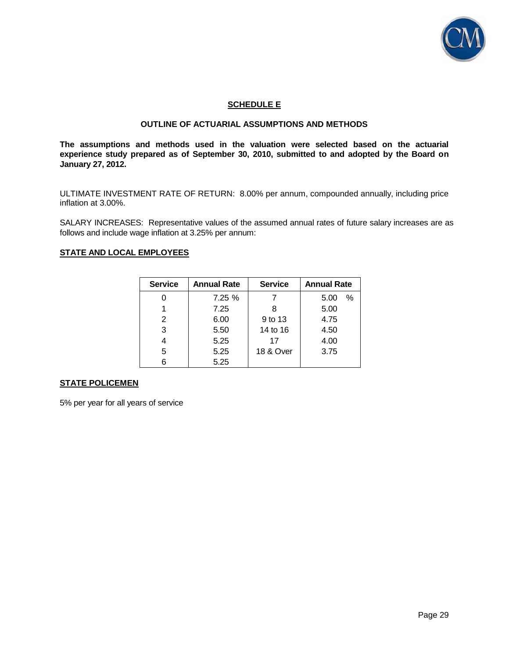

## **SCHEDULE E**

## **OUTLINE OF ACTUARIAL ASSUMPTIONS AND METHODS**

**The assumptions and methods used in the valuation were selected based on the actuarial experience study prepared as of September 30, 2010, submitted to and adopted by the Board on January 27, 2012.** 

ULTIMATE INVESTMENT RATE OF RETURN: 8.00% per annum, compounded annually, including price inflation at 3.00%.

SALARY INCREASES: Representative values of the assumed annual rates of future salary increases are as follows and include wage inflation at 3.25% per annum:

#### **STATE AND LOCAL EMPLOYEES**

| <b>Service</b> | <b>Annual Rate</b> | <b>Service</b> | <b>Annual Rate</b> |
|----------------|--------------------|----------------|--------------------|
|                | 7.25%              |                | $\%$<br>5.00       |
|                | 7.25               |                | 5.00               |
| 2              | 6.00               | 9 to 13        | 4.75               |
| 3              | 5.50               | 14 to 16       | 4.50               |
|                | 5.25               | 17             | 4.00               |
| 5              | 5.25               | 18 & Over      | 3.75               |
| 6              | 5.25               |                |                    |

#### **STATE POLICEMEN**

5% per year for all years of service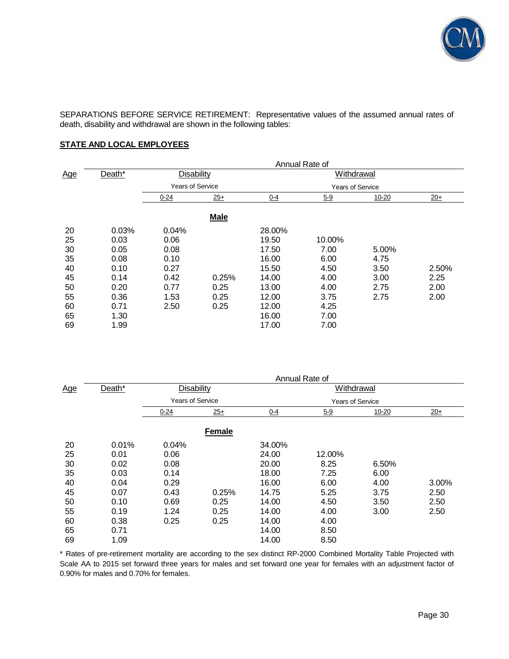

SEPARATIONS BEFORE SERVICE RETIREMENT: Representative values of the assumed annual rates of death, disability and withdrawal are shown in the following tables:

## **STATE AND LOCAL EMPLOYEES**

|                                                          |                                                                               | Annual Rate of                                                        |                               |                                                                                         |                                                                        |                                               |                               |
|----------------------------------------------------------|-------------------------------------------------------------------------------|-----------------------------------------------------------------------|-------------------------------|-----------------------------------------------------------------------------------------|------------------------------------------------------------------------|-----------------------------------------------|-------------------------------|
| Age                                                      | Death*                                                                        | Disability                                                            |                               |                                                                                         | Withdrawal                                                             |                                               |                               |
|                                                          |                                                                               | <b>Years of Service</b>                                               |                               |                                                                                         | <b>Years of Service</b>                                                |                                               |                               |
|                                                          |                                                                               | $0 - 24$                                                              | $25+$                         | $0-4$                                                                                   | $5 - 9$                                                                | 10-20                                         | $20+$                         |
|                                                          |                                                                               |                                                                       | <b>Male</b>                   |                                                                                         |                                                                        |                                               |                               |
| 20<br>25<br>30<br>35<br>40<br>45<br>50<br>55<br>60<br>65 | 0.03%<br>0.03<br>0.05<br>0.08<br>0.10<br>0.14<br>0.20<br>0.36<br>0.71<br>1.30 | 0.04%<br>0.06<br>0.08<br>0.10<br>0.27<br>0.42<br>0.77<br>1.53<br>2.50 | 0.25%<br>0.25<br>0.25<br>0.25 | 28.00%<br>19.50<br>17.50<br>16.00<br>15.50<br>14.00<br>13.00<br>12.00<br>12.00<br>16.00 | 10.00%<br>7.00<br>6.00<br>4.50<br>4.00<br>4.00<br>3.75<br>4.25<br>7.00 | 5.00%<br>4.75<br>3.50<br>3.00<br>2.75<br>2.75 | 2.50%<br>2.25<br>2.00<br>2.00 |
| 69                                                       | 1.99                                                                          |                                                                       |                               | 17.00                                                                                   | 7.00                                                                   |                                               |                               |

|     |        | Annual Rate of          |               |         |                         |       |       |
|-----|--------|-------------------------|---------------|---------|-------------------------|-------|-------|
| Age | Death* | <b>Disability</b>       |               |         | Withdrawal              |       |       |
|     |        | <b>Years of Service</b> |               |         | <b>Years of Service</b> |       |       |
|     |        | $0 - 24$                | $25+$         | $0 - 4$ | $5-9$                   | 10-20 | $20+$ |
|     |        |                         | <b>Female</b> |         |                         |       |       |
| 20  | 0.01%  | 0.04%                   |               | 34.00%  |                         |       |       |
| 25  | 0.01   | 0.06                    |               | 24.00   | 12.00%                  |       |       |
| 30  | 0.02   | 0.08                    |               | 20.00   | 8.25                    | 6.50% |       |
| 35  | 0.03   | 0.14                    |               | 18.00   | 7.25                    | 6.00  |       |
| 40  | 0.04   | 0.29                    |               | 16.00   | 6.00                    | 4.00  | 3.00% |
| 45  | 0.07   | 0.43                    | 0.25%         | 14.75   | 5.25                    | 3.75  | 2.50  |
| 50  | 0.10   | 0.69                    | 0.25          | 14.00   | 4.50                    | 3.50  | 2.50  |
| 55  | 0.19   | 1.24                    | 0.25          | 14.00   | 4.00                    | 3.00  | 2.50  |
| 60  | 0.38   | 0.25                    | 0.25          | 14.00   | 4.00                    |       |       |
| 65  | 0.71   |                         |               | 14.00   | 8.50                    |       |       |
| 69  | 1.09   |                         |               | 14.00   | 8.50                    |       |       |

\* Rates of pre-retirement mortality are according to the sex distinct RP-2000 Combined Mortality Table Projected with Scale AA to 2015 set forward three years for males and set forward one year for females with an adjustment factor of 0.90% for males and 0.70% for females.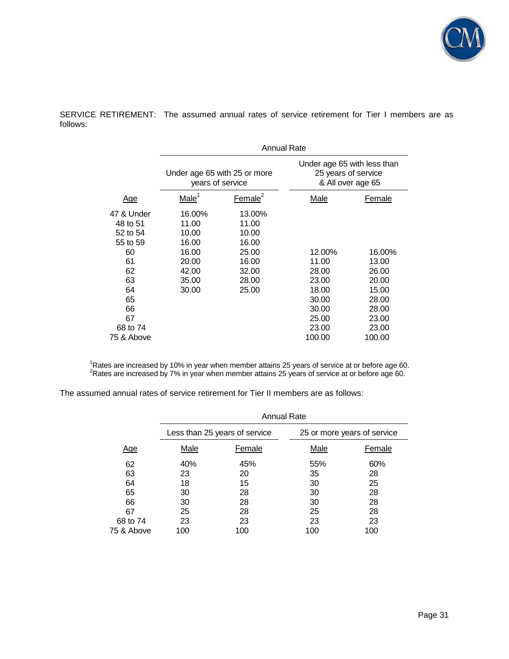

SERVICE RETIREMENT: The assumed annual rates of service retirement for Tier I members are as follows:

|            | <b>Annual Rate</b>                               |                     |                                                                         |        |  |
|------------|--------------------------------------------------|---------------------|-------------------------------------------------------------------------|--------|--|
|            | Under age 65 with 25 or more<br>years of service |                     | Under age 65 with less than<br>25 years of service<br>& All over age 65 |        |  |
| <u>Age</u> | Male <sup>1</sup>                                | Female <sup>2</sup> | Male                                                                    | Female |  |
| 47 & Under | 16.00%                                           | 13.00%              |                                                                         |        |  |
| 48 to 51   | 11.00                                            | 11.00               |                                                                         |        |  |
| 52 to 54   | 10.00                                            | 10.00               |                                                                         |        |  |
| 55 to 59   | 16.00                                            | 16.00               |                                                                         |        |  |
| 60         | 16.00                                            | 25.00               | 12.00%                                                                  | 16.00% |  |
| 61         | 20.00                                            | 16.00               | 11.00                                                                   | 13.00  |  |
| 62         | 42.00                                            | 32.00               | 28.00                                                                   | 26.00  |  |
| 63         | 35.00                                            | 28.00               | 23.00                                                                   | 20.00  |  |
| 64         | 30.00                                            | 25.00               | 18.00                                                                   | 15.00  |  |
| 65         |                                                  |                     | 30.00                                                                   | 28.00  |  |
| 66         |                                                  |                     | 30.00                                                                   | 28.00  |  |
| 67         |                                                  |                     | 25.00                                                                   | 23.00  |  |
| 68 to 74   |                                                  |                     | 23.00                                                                   | 23.00  |  |
| 75 & Above |                                                  |                     | 100.00                                                                  | 100.00 |  |

<sup>1</sup>Rates are increased by 10% in year when member attains 25 years of service at or before age 60.  $2$ Rates are increased by 7% in year when member attains 25 years of service at or before age 60.

The assumed annual rates of service retirement for Tier II members are as follows:

|            | <b>Annual Rate</b> |                               |      |                             |  |  |
|------------|--------------------|-------------------------------|------|-----------------------------|--|--|
|            |                    | Less than 25 years of service |      | 25 or more years of service |  |  |
| <u>Age</u> | Male               | Female                        | Male | Female                      |  |  |
| 62         | 40%                | 45%                           | 55%  | 60%                         |  |  |
| 63         | 23                 | 20                            | 35   | 28                          |  |  |
| 64         | 18                 | 15                            | 30   | 25                          |  |  |
| 65         | 30                 | 28                            | 30   | 28                          |  |  |
| 66         | 30                 | 28                            | 30   | 28                          |  |  |
| 67         | 25                 | 28                            | 25   | 28                          |  |  |
| 68 to 74   | 23                 | 23                            | 23   | 23                          |  |  |
| 75 & Above | 100                | 100                           | 100  | 100                         |  |  |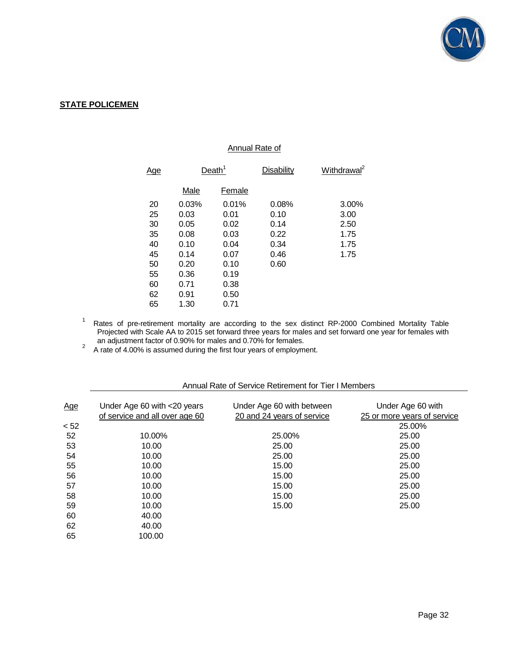

## **STATE POLICEMEN**

#### Annual Rate of

| <u>Age</u> | Death <sup>1</sup> |        | <b>Disability</b> | Withdrawal <sup>2</sup> |
|------------|--------------------|--------|-------------------|-------------------------|
|            | Male               | Female |                   |                         |
| 20         | 0.03%              | 0.01%  | 0.08%             | 3.00%                   |
| 25         | 0.03               | 0.01   | 0.10              | 3.00                    |
| 30         | 0.05               | 0.02   | 0.14              | 2.50                    |
| 35         | 0.08               | 0.03   | 0.22              | 1.75                    |
| 40         | 0.10               | 0.04   | 0.34              | 1.75                    |
| 45         | 0.14               | 0.07   | 0.46              | 1.75                    |
| 50         | 0.20               | 0.10   | 0.60              |                         |
| 55         | 0.36               | 0.19   |                   |                         |
| 60         | 0.71               | 0.38   |                   |                         |
| 62         | 0.91               | 0.50   |                   |                         |
| 65         | 1.30               | 0.71   |                   |                         |

1 Rates of pre-retirement mortality are according to the sex distinct RP-2000 Combined Mortality Table Projected with Scale AA to 2015 set forward three years for males and set forward one year for females with an adjustment factor of 0.90% for males and 0.70% for females.

2 A rate of 4.00% is assumed during the first four years of employment.

| Age  | Under Age 60 with <20 years<br>of service and all over age 60 | Under Age 60 with between<br>20 and 24 years of service | Under Age 60 with<br>25 or more years of service |
|------|---------------------------------------------------------------|---------------------------------------------------------|--------------------------------------------------|
| < 52 |                                                               |                                                         | 25.00%                                           |
| 52   | 10.00%                                                        | 25.00%                                                  | 25.00                                            |
| 53   | 10.00                                                         | 25.00                                                   | 25.00                                            |
| 54   | 10.00                                                         | 25.00                                                   | 25.00                                            |
| 55   | 10.00                                                         | 15.00                                                   | 25.00                                            |
| 56   | 10.00                                                         | 15.00                                                   | 25.00                                            |
| 57   | 10.00                                                         | 15.00                                                   | 25.00                                            |
| 58   | 10.00                                                         | 15.00                                                   | 25.00                                            |
| 59   | 10.00                                                         | 15.00                                                   | 25.00                                            |
| 60   | 40.00                                                         |                                                         |                                                  |
| 62   | 40.00                                                         |                                                         |                                                  |
| 65   | 100.00                                                        |                                                         |                                                  |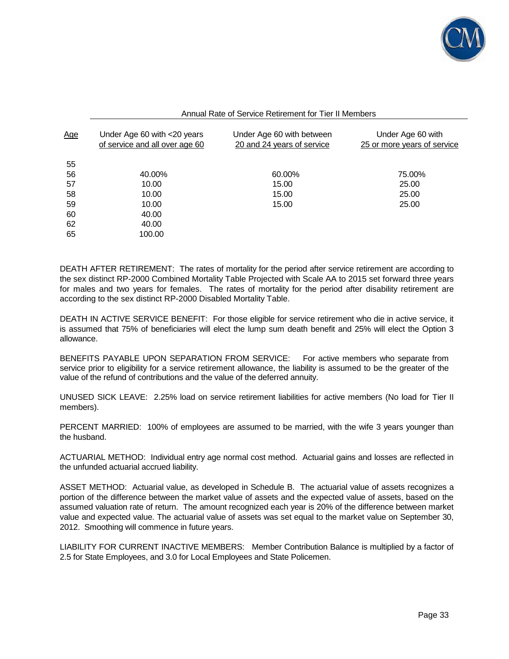

| Annual Rate of Service Retirement for Tier II Members |
|-------------------------------------------------------|
|-------------------------------------------------------|

| <u>Age</u> | Under Age 60 with <20 years<br>of service and all over age 60 | Under Age 60 with between<br>20 and 24 years of service | Under Age 60 with<br>25 or more years of service |
|------------|---------------------------------------------------------------|---------------------------------------------------------|--------------------------------------------------|
| 55         |                                                               |                                                         |                                                  |
| 56         | 40.00%                                                        | 60.00%                                                  | 75.00%                                           |
| 57         | 10.00                                                         | 15.00                                                   | 25.00                                            |
| 58         | 10.00                                                         | 15.00                                                   | 25.00                                            |
| 59         | 10.00                                                         | 15.00                                                   | 25.00                                            |
| 60         | 40.00                                                         |                                                         |                                                  |
| 62         | 40.00                                                         |                                                         |                                                  |
| 65         | 100.00                                                        |                                                         |                                                  |

DEATH AFTER RETIREMENT: The rates of mortality for the period after service retirement are according to the sex distinct RP-2000 Combined Mortality Table Projected with Scale AA to 2015 set forward three years for males and two years for females. The rates of mortality for the period after disability retirement are according to the sex distinct RP-2000 Disabled Mortality Table.

DEATH IN ACTIVE SERVICE BENEFIT: For those eligible for service retirement who die in active service, it is assumed that 75% of beneficiaries will elect the lump sum death benefit and 25% will elect the Option 3 allowance.

BENEFITS PAYABLE UPON SEPARATION FROM SERVICE: For active members who separate from service prior to eligibility for a service retirement allowance, the liability is assumed to be the greater of the value of the refund of contributions and the value of the deferred annuity.

UNUSED SICK LEAVE: 2.25% load on service retirement liabilities for active members (No load for Tier II members).

PERCENT MARRIED: 100% of employees are assumed to be married, with the wife 3 years younger than the husband.

ACTUARIAL METHOD: Individual entry age normal cost method. Actuarial gains and losses are reflected in the unfunded actuarial accrued liability.

ASSET METHOD: Actuarial value, as developed in Schedule B. The actuarial value of assets recognizes a portion of the difference between the market value of assets and the expected value of assets, based on the assumed valuation rate of return. The amount recognized each year is 20% of the difference between market value and expected value. The actuarial value of assets was set equal to the market value on September 30, 2012. Smoothing will commence in future years.

LIABILITY FOR CURRENT INACTIVE MEMBERS: Member Contribution Balance is multiplied by a factor of 2.5 for State Employees, and 3.0 for Local Employees and State Policemen.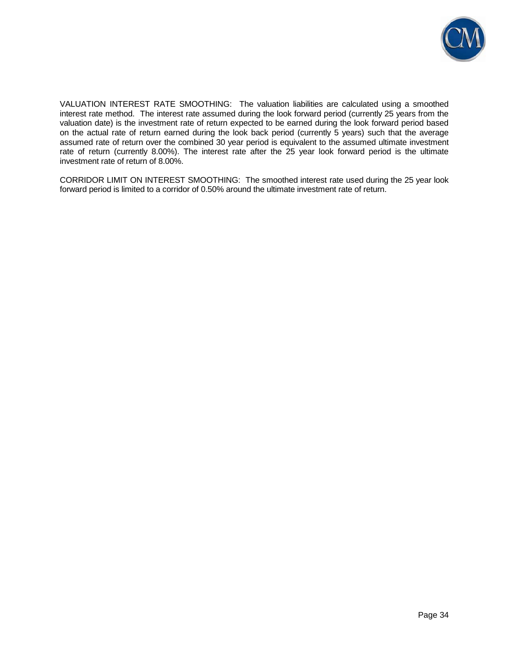

VALUATION INTEREST RATE SMOOTHING: The valuation liabilities are calculated using a smoothed interest rate method. The interest rate assumed during the look forward period (currently 25 years from the valuation date) is the investment rate of return expected to be earned during the look forward period based on the actual rate of return earned during the look back period (currently 5 years) such that the average assumed rate of return over the combined 30 year period is equivalent to the assumed ultimate investment rate of return (currently 8.00%). The interest rate after the 25 year look forward period is the ultimate investment rate of return of 8.00%.

CORRIDOR LIMIT ON INTEREST SMOOTHING: The smoothed interest rate used during the 25 year look forward period is limited to a corridor of 0.50% around the ultimate investment rate of return.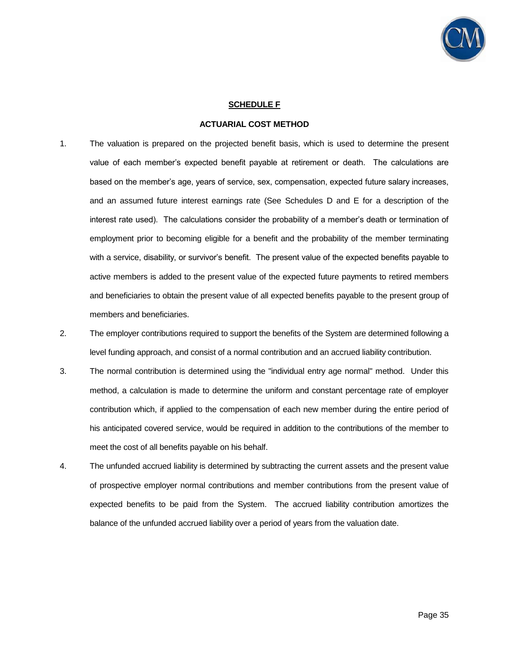

#### **SCHEDULE F**

#### **ACTUARIAL COST METHOD**

- 1. The valuation is prepared on the projected benefit basis, which is used to determine the present value of each member's expected benefit payable at retirement or death. The calculations are based on the member's age, years of service, sex, compensation, expected future salary increases, and an assumed future interest earnings rate (See Schedules D and E for a description of the interest rate used). The calculations consider the probability of a member's death or termination of employment prior to becoming eligible for a benefit and the probability of the member terminating with a service, disability, or survivor's benefit. The present value of the expected benefits payable to active members is added to the present value of the expected future payments to retired members and beneficiaries to obtain the present value of all expected benefits payable to the present group of members and beneficiaries.
- 2. The employer contributions required to support the benefits of the System are determined following a level funding approach, and consist of a normal contribution and an accrued liability contribution.
- 3. The normal contribution is determined using the "individual entry age normal" method. Under this method, a calculation is made to determine the uniform and constant percentage rate of employer contribution which, if applied to the compensation of each new member during the entire period of his anticipated covered service, would be required in addition to the contributions of the member to meet the cost of all benefits payable on his behalf.
- 4. The unfunded accrued liability is determined by subtracting the current assets and the present value of prospective employer normal contributions and member contributions from the present value of expected benefits to be paid from the System. The accrued liability contribution amortizes the balance of the unfunded accrued liability over a period of years from the valuation date.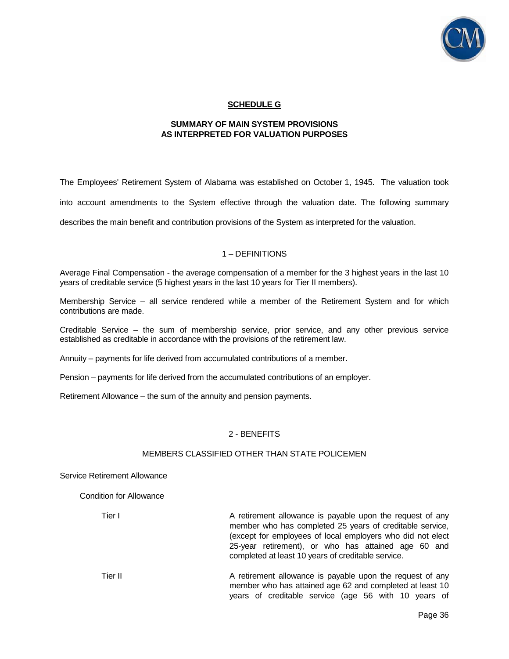

## **SCHEDULE G**

#### **SUMMARY OF MAIN SYSTEM PROVISIONS AS INTERPRETED FOR VALUATION PURPOSES**

The Employees' Retirement System of Alabama was established on October 1, 1945. The valuation took into account amendments to the System effective through the valuation date. The following summary describes the main benefit and contribution provisions of the System as interpreted for the valuation.

#### 1 – DEFINITIONS

Average Final Compensation - the average compensation of a member for the 3 highest years in the last 10 years of creditable service (5 highest years in the last 10 years for Tier II members).

Membership Service – all service rendered while a member of the Retirement System and for which contributions are made.

Creditable Service – the sum of membership service, prior service, and any other previous service established as creditable in accordance with the provisions of the retirement law.

Annuity – payments for life derived from accumulated contributions of a member.

Pension – payments for life derived from the accumulated contributions of an employer.

Retirement Allowance – the sum of the annuity and pension payments.

#### 2 - BENEFITS

#### MEMBERS CLASSIFIED OTHER THAN STATE POLICEMEN

#### Service Retirement Allowance

Condition for Allowance

Tier I **A** retirement allowance is payable upon the request of any member who has completed 25 years of creditable service, (except for employees of local employers who did not elect 25-year retirement), or who has attained age 60 and completed at least 10 years of creditable service.

Tier II **A** retirement allowance is payable upon the request of any member who has attained age 62 and completed at least 10 years of creditable service (age 56 with 10 years of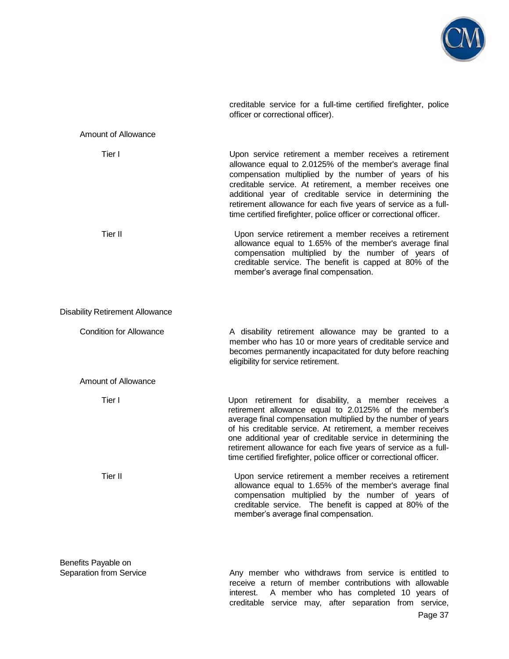

creditable service for a full-time certified firefighter, police officer or correctional officer).

#### Amount of Allowance

| Upon service retirement a member receives a retirement<br>allowance equal to 2.0125% of the member's average final<br>compensation multiplied by the number of years of his<br>creditable service. At retirement, a member receives one<br>additional year of creditable service in determining the<br>retirement allowance for each five years of service as a full-<br>time certified firefighter, police officer or correctional officer.         |
|------------------------------------------------------------------------------------------------------------------------------------------------------------------------------------------------------------------------------------------------------------------------------------------------------------------------------------------------------------------------------------------------------------------------------------------------------|
| Upon service retirement a member receives a retirement<br>allowance equal to 1.65% of the member's average final<br>compensation multiplied by the number of years of<br>creditable service. The benefit is capped at 80% of the<br>member's average final compensation.                                                                                                                                                                             |
|                                                                                                                                                                                                                                                                                                                                                                                                                                                      |
| A disability retirement allowance may be granted to a<br>member who has 10 or more years of creditable service and<br>becomes permanently incapacitated for duty before reaching<br>eligibility for service retirement.                                                                                                                                                                                                                              |
|                                                                                                                                                                                                                                                                                                                                                                                                                                                      |
| Upon retirement for disability, a member receives a<br>retirement allowance equal to 2.0125% of the member's<br>average final compensation multiplied by the number of years<br>of his creditable service. At retirement, a member receives<br>one additional year of creditable service in determining the<br>retirement allowance for each five years of service as a full-<br>time certified firefighter, police officer or correctional officer. |
| Upon service retirement a member receives a retirement<br>allowance equal to 1.65% of the member's average final<br>compensation multiplied by the number of years of<br>creditable service. The benefit is capped at 80% of the<br>member's average final compensation.                                                                                                                                                                             |
|                                                                                                                                                                                                                                                                                                                                                                                                                                                      |

Benefits Payable on<br>Separation from Service

Page 37 Any member who withdraws from service is entitled to receive a return of member contributions with allowable interest. A member who has completed 10 years of creditable service may, after separation from service,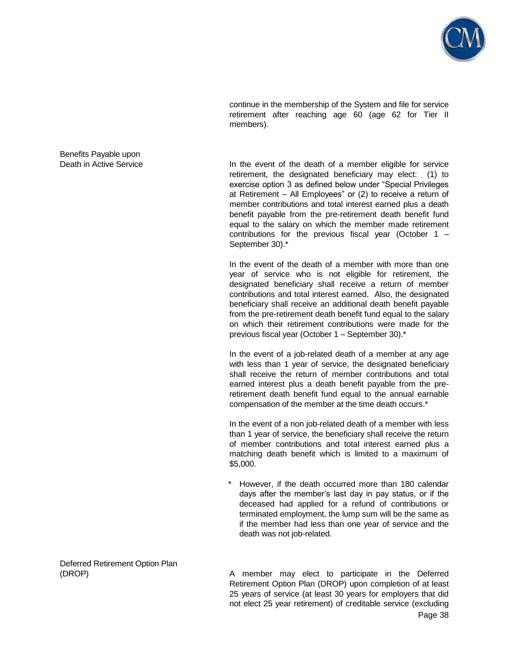

continue in the membership of the System and file for service retirement after reaching age 60 (age 62 for Tier II members).

Death in Active Service **In the event of the death of a member eligible for service** retirement, the designated beneficiary may elect: (1) to exercise option 3 as defined below under "Special Privileges at Retirement – All Employees" or (2) to receive a return of member contributions and total interest earned plus a death benefit payable from the pre-retirement death benefit fund equal to the salary on which the member made retirement contributions for the previous fiscal year (October 1 – September 30).\*

> In the event of the death of a member with more than one year of service who is not eligible for retirement, the designated beneficiary shall receive a return of member contributions and total interest earned. Also, the designated beneficiary shall receive an additional death benefit payable from the pre-retirement death benefit fund equal to the salary on which their retirement contributions were made for the previous fiscal year (October 1 – September 30).\*

> In the event of a job-related death of a member at any age with less than 1 year of service, the designated beneficiary shall receive the return of member contributions and total earned interest plus a death benefit payable from the preretirement death benefit fund equal to the annual earnable compensation of the member at the time death occurs.\*

> In the event of a non job-related death of a member with less than 1 year of service, the beneficiary shall receive the return of member contributions and total interest earned plus a matching death benefit which is limited to a maximum of \$5,000.

> However, if the death occurred more than 180 calendar days after the member's last day in pay status, or if the deceased had applied for a refund of contributions or terminated employment, the lump sum will be the same as if the member had less than one year of service and the death was not job-related.

Page 38 (DROP) A member may elect to participate in the Deferred Retirement Option Plan (DROP) upon completion of at least 25 years of service (at least 30 years for employers that did not elect 25 year retirement) of creditable service (excluding

Benefits Payable upon

Deferred Retirement Option Plan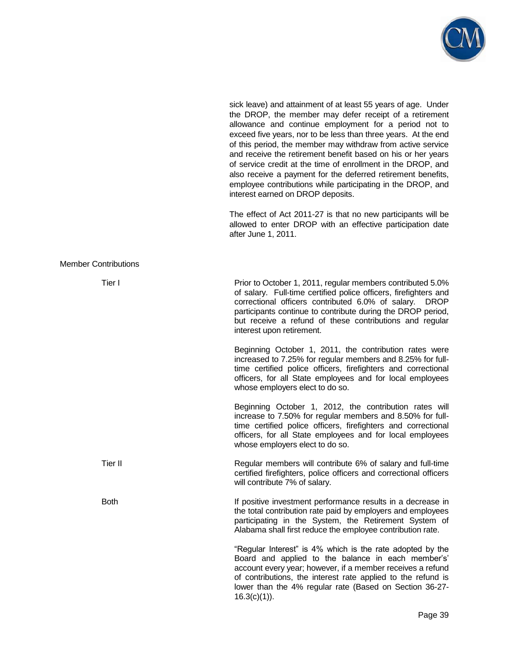

sick leave) and attainment of at least 55 years of age. Under the DROP, the member may defer receipt of a retirement allowance and continue employment for a period not to exceed five years, nor to be less than three years. At the end of this period, the member may withdraw from active service and receive the retirement benefit based on his or her years of service credit at the time of enrollment in the DROP, and also receive a payment for the deferred retirement benefits, employee contributions while participating in the DROP, and interest earned on DROP deposits.

 The effect of Act 2011-27 is that no new participants will be allowed to enter DROP with an effective participation date after June 1, 2011.

| <b>Member Contributions</b> |                                                                                                                                                                                                                                                                                                                                                           |
|-----------------------------|-----------------------------------------------------------------------------------------------------------------------------------------------------------------------------------------------------------------------------------------------------------------------------------------------------------------------------------------------------------|
| Tier I                      | Prior to October 1, 2011, regular members contributed 5.0%<br>of salary. Full-time certified police officers, firefighters and<br>correctional officers contributed 6.0% of salary.<br><b>DROP</b><br>participants continue to contribute during the DROP period,<br>but receive a refund of these contributions and regular<br>interest upon retirement. |
|                             | Beginning October 1, 2011, the contribution rates were<br>increased to 7.25% for regular members and 8.25% for full-<br>time certified police officers, firefighters and correctional<br>officers, for all State employees and for local employees<br>whose employers elect to do so.                                                                     |
|                             | Beginning October 1, 2012, the contribution rates will<br>increase to 7.50% for regular members and 8.50% for full-<br>time certified police officers, firefighters and correctional<br>officers, for all State employees and for local employees<br>whose employers elect to do so.                                                                      |
| Tier II                     | Regular members will contribute 6% of salary and full-time<br>certified firefighters, police officers and correctional officers<br>will contribute 7% of salary.                                                                                                                                                                                          |
| <b>Both</b>                 | If positive investment performance results in a decrease in<br>the total contribution rate paid by employers and employees<br>participating in the System, the Retirement System of<br>Alabama shall first reduce the employee contribution rate.                                                                                                         |
|                             | "Regular Interest" is 4% which is the rate adopted by the<br>Board and applied to the balance in each member's'<br>account every year; however, if a member receives a refund<br>of contributions, the interest rate applied to the refund is<br>lower than the 4% regular rate (Based on Section 36-27-<br>$16.3(c)(1)$ ).                               |
|                             | Page 39                                                                                                                                                                                                                                                                                                                                                   |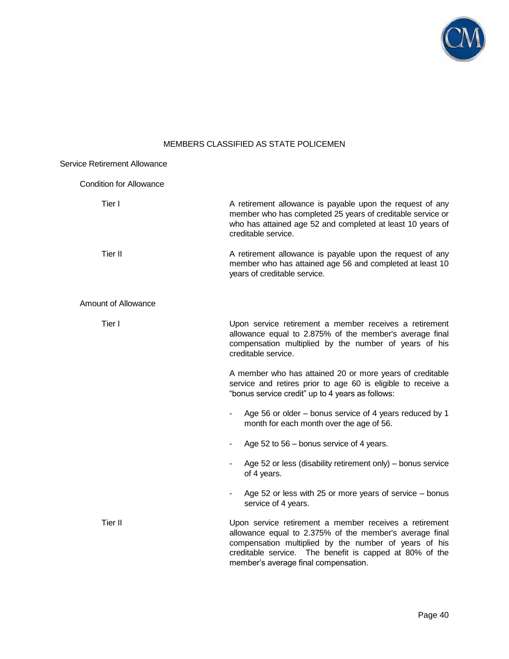

# MEMBERS CLASSIFIED AS STATE POLICEMEN

| <b>Service Retirement Allowance</b> |                                                                                                                                                                                                                                                                               |
|-------------------------------------|-------------------------------------------------------------------------------------------------------------------------------------------------------------------------------------------------------------------------------------------------------------------------------|
| <b>Condition for Allowance</b>      |                                                                                                                                                                                                                                                                               |
| Tier I                              | A retirement allowance is payable upon the request of any<br>member who has completed 25 years of creditable service or<br>who has attained age 52 and completed at least 10 years of<br>creditable service.                                                                  |
| Tier II                             | A retirement allowance is payable upon the request of any<br>member who has attained age 56 and completed at least 10<br>years of creditable service.                                                                                                                         |
| Amount of Allowance                 |                                                                                                                                                                                                                                                                               |
| Tier I                              | Upon service retirement a member receives a retirement<br>allowance equal to 2.875% of the member's average final<br>compensation multiplied by the number of years of his<br>creditable service.                                                                             |
|                                     | A member who has attained 20 or more years of creditable<br>service and retires prior to age 60 is eligible to receive a<br>"bonus service credit" up to 4 years as follows:                                                                                                  |
|                                     | Age 56 or older – bonus service of 4 years reduced by 1<br>$\qquad \qquad \blacksquare$<br>month for each month over the age of 56.                                                                                                                                           |
|                                     | Age 52 to 56 – bonus service of 4 years.                                                                                                                                                                                                                                      |
|                                     | Age 52 or less (disability retirement only) – bonus service<br>of 4 years.                                                                                                                                                                                                    |
|                                     | Age 52 or less with 25 or more years of service – bonus<br>service of 4 years.                                                                                                                                                                                                |
| Tier II                             | Upon service retirement a member receives a retirement<br>allowance equal to 2.375% of the member's average final<br>compensation multiplied by the number of years of his<br>creditable service. The benefit is capped at 80% of the<br>member's average final compensation. |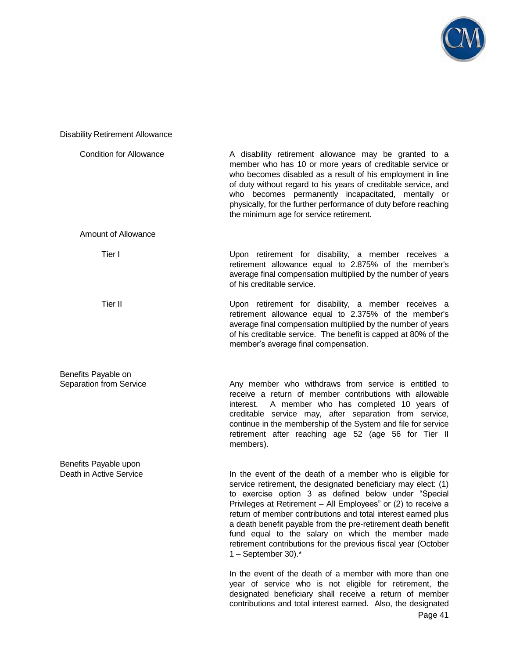

# Disability Retirement Allowance

| <b>Condition for Allowance</b> | A disability retirement allowance may be granted to a<br>member who has 10 or more years of creditable service or<br>who becomes disabled as a result of his employment in line<br>of duty without regard to his years of creditable service, and<br>who becomes permanently incapacitated, mentally or<br>physically, for the further performance of duty before reaching<br>the minimum age for service retirement.                                                                                                                  |
|--------------------------------|----------------------------------------------------------------------------------------------------------------------------------------------------------------------------------------------------------------------------------------------------------------------------------------------------------------------------------------------------------------------------------------------------------------------------------------------------------------------------------------------------------------------------------------|
| Amount of Allowance            |                                                                                                                                                                                                                                                                                                                                                                                                                                                                                                                                        |
| Tier I                         | Upon retirement for disability, a member receives a<br>retirement allowance equal to 2.875% of the member's<br>average final compensation multiplied by the number of years<br>of his creditable service.                                                                                                                                                                                                                                                                                                                              |
| Tier II                        | Upon retirement for disability, a member receives a<br>retirement allowance equal to 2.375% of the member's<br>average final compensation multiplied by the number of years<br>of his creditable service. The benefit is capped at 80% of the<br>member's average final compensation.                                                                                                                                                                                                                                                  |
| Benefits Payable on            |                                                                                                                                                                                                                                                                                                                                                                                                                                                                                                                                        |
| <b>Separation from Service</b> | Any member who withdraws from service is entitled to<br>receive a return of member contributions with allowable<br>A member who has completed 10 years of<br>interest.<br>creditable service may, after separation from service,<br>continue in the membership of the System and file for service<br>retirement after reaching age 52 (age 56 for Tier II<br>members).                                                                                                                                                                 |
| Benefits Payable upon          |                                                                                                                                                                                                                                                                                                                                                                                                                                                                                                                                        |
| Death in Active Service        | In the event of the death of a member who is eligible for<br>service retirement, the designated beneficiary may elect: (1)<br>to exercise option 3 as defined below under "Special<br>Privileges at Retirement - All Employees" or (2) to receive a<br>return of member contributions and total interest earned plus<br>a death benefit payable from the pre-retirement death benefit<br>fund equal to the salary on which the member made<br>retirement contributions for the previous fiscal year (October<br>1 - September 30). $*$ |
|                                | In the event of the death of a member with more than one<br>year of service who is not eligible for retirement, the<br>designated beneficiary shall receive a return of member<br>contributions and total interest earned. Also, the designated                                                                                                                                                                                                                                                                                        |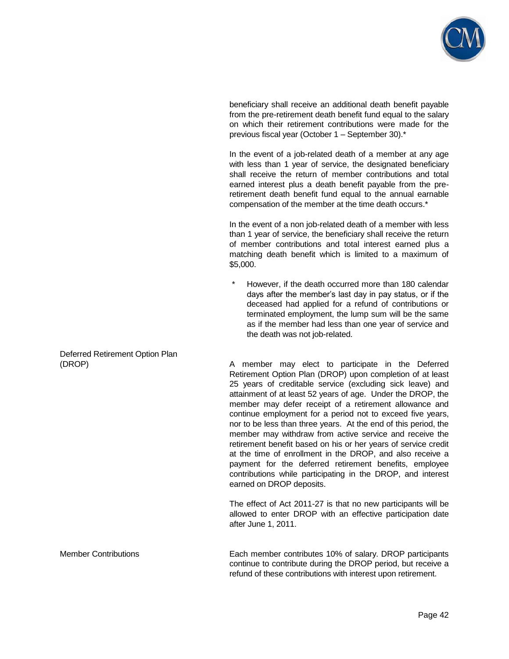

beneficiary shall receive an additional death benefit payable from the pre-retirement death benefit fund equal to the salary on which their retirement contributions were made for the previous fiscal year (October 1 – September 30).\*

 In the event of a job-related death of a member at any age with less than 1 year of service, the designated beneficiary shall receive the return of member contributions and total earned interest plus a death benefit payable from the preretirement death benefit fund equal to the annual earnable compensation of the member at the time death occurs.\*

 In the event of a non job-related death of a member with less than 1 year of service, the beneficiary shall receive the return of member contributions and total interest earned plus a matching death benefit which is limited to a maximum of \$5,000.

However, if the death occurred more than 180 calendar days after the member's last day in pay status, or if the deceased had applied for a refund of contributions or terminated employment, the lump sum will be the same as if the member had less than one year of service and the death was not job-related.

(DROP) A member may elect to participate in the Deferred Retirement Option Plan (DROP) upon completion of at least 25 years of creditable service (excluding sick leave) and attainment of at least 52 years of age. Under the DROP, the member may defer receipt of a retirement allowance and continue employment for a period not to exceed five years, nor to be less than three years. At the end of this period, the member may withdraw from active service and receive the retirement benefit based on his or her years of service credit at the time of enrollment in the DROP, and also receive a payment for the deferred retirement benefits, employee contributions while participating in the DROP, and interest earned on DROP deposits.

> The effect of Act 2011-27 is that no new participants will be allowed to enter DROP with an effective participation date after June 1, 2011.

Member Contributions Each member contributes 10% of salary. DROP participants continue to contribute during the DROP period, but receive a refund of these contributions with interest upon retirement.

Deferred Retirement Option Plan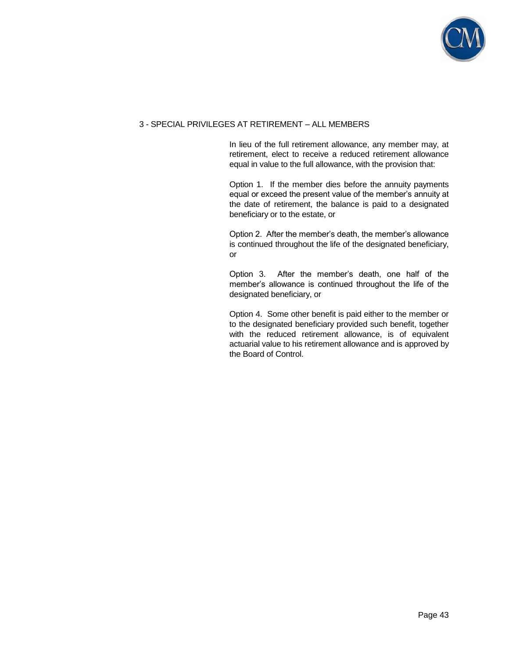

## 3 - SPECIAL PRIVILEGES AT RETIREMENT – ALL MEMBERS

 In lieu of the full retirement allowance, any member may, at retirement, elect to receive a reduced retirement allowance equal in value to the full allowance, with the provision that:

 Option 1. If the member dies before the annuity payments equal or exceed the present value of the member's annuity at the date of retirement, the balance is paid to a designated beneficiary or to the estate, or

 Option 2. After the member's death, the member's allowance is continued throughout the life of the designated beneficiary, or

 Option 3. After the member's death, one half of the member's allowance is continued throughout the life of the designated beneficiary, or

 Option 4. Some other benefit is paid either to the member or to the designated beneficiary provided such benefit, together with the reduced retirement allowance, is of equivalent actuarial value to his retirement allowance and is approved by the Board of Control.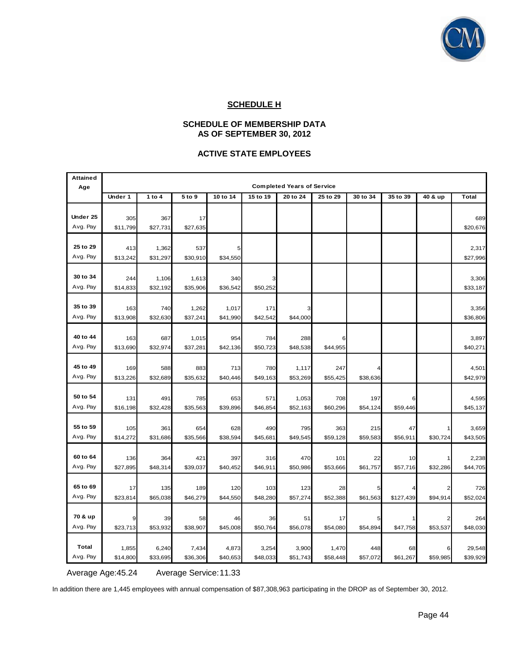

## **SCHEDULE H**

## **SCHEDULE OF MEMBERSHIP DATA AS OF SEPTEMBER 30, 2012**

## **ACTIVE STATE EMPLOYEES**

| <b>Attained</b> |                 |                   |                 |                 |                 |                                   |                 |                |                |          |                   |
|-----------------|-----------------|-------------------|-----------------|-----------------|-----------------|-----------------------------------|-----------------|----------------|----------------|----------|-------------------|
| Age             |                 |                   |                 |                 |                 | <b>Completed Years of Service</b> |                 |                |                |          |                   |
|                 | Under 1         | 1 to 4            | 5 to 9          | 10 to 14        | 15 to 19        | 20 to 24                          | 25 to 29        | 30 to 34       | 35 to 39       | 40 & up  | <b>Total</b>      |
|                 |                 |                   |                 |                 |                 |                                   |                 |                |                |          |                   |
| Under 25        | 305             | 367               | 17              |                 |                 |                                   |                 |                |                |          | 689               |
| Avg. Pay        | \$11,799        | \$27,731          | \$27,635        |                 |                 |                                   |                 |                |                |          | \$20,676          |
| 25 to 29        |                 |                   |                 |                 |                 |                                   |                 |                |                |          |                   |
| Avg. Pay        | 413<br>\$13,242 | 1,362<br>\$31,297 | 537<br>\$30,910 | \$34,550        |                 |                                   |                 |                |                |          | 2,317<br>\$27,996 |
|                 |                 |                   |                 |                 |                 |                                   |                 |                |                |          |                   |
| 30 to 34        | 244             | 1,106             | 1,613           | 340             |                 |                                   |                 |                |                |          | 3,306             |
| Avg. Pay        | \$14,833        | \$32,192          | \$35,906        | \$36,542        | \$50,252        |                                   |                 |                |                |          | \$33,187          |
|                 |                 |                   |                 |                 |                 |                                   |                 |                |                |          |                   |
| 35 to 39        | 163             | 740               | 1,262           | 1,017           | 171             |                                   |                 |                |                |          | 3,356             |
| Avg. Pay        | \$13,908        | \$32,630          | \$37,241        | \$41,990        | \$42,542        | \$44,000                          |                 |                |                |          | \$36,806          |
|                 |                 |                   |                 |                 |                 |                                   |                 |                |                |          |                   |
| 40 to 44        | 163             | 687               | 1,015           | 954             | 784             | 288                               |                 |                |                |          | 3,897             |
| Avg. Pay        | \$13,690        | \$32,974          | \$37,281        | \$42,136        | \$50,723        | \$48,538                          | \$44,955        |                |                |          | \$40,271          |
|                 |                 |                   |                 |                 |                 |                                   |                 |                |                |          |                   |
| 45 to 49        | 169             | 588               | 883             | 713             | 780             | 1,117                             | 247             |                |                |          | 4,501             |
| Avg. Pay        | \$13,226        | \$32,689          | \$35,632        | \$40,446        | \$49,163        | \$53,269                          | \$55,425        | \$38,636       |                |          | \$42,979          |
|                 |                 |                   |                 |                 |                 |                                   |                 |                |                |          |                   |
| 50 to 54        | 131             | 491               | 785             | 653             | 571             | 1,053                             | 708             | 197            | 6              |          | 4,595             |
| Avg. Pay        | \$16,198        | \$32,428          | \$35,563        | \$39,896        | \$46,854        | \$52,163                          | \$60,296        | \$54,124       | \$59,446       |          | \$45,137          |
|                 |                 |                   |                 |                 |                 |                                   |                 |                |                |          |                   |
| 55 to 59        | 105             | 361               | 654             | 628             | 490             | 795                               | 363             | 215            | 47             |          | 3,659             |
| Avg. Pay        | \$14,272        | \$31,686          | \$35,566        | \$38,594        | \$45,681        | \$49,545                          | \$59,128        | \$59,583       | \$56,911       | \$30,724 | \$43,505          |
| 60 to 64        |                 |                   |                 |                 |                 | 470                               |                 |                |                |          |                   |
| Avg. Pay        | 136<br>\$27,895 | 364<br>\$48,314   | 421<br>\$39,037 | 397<br>\$40,452 | 316<br>\$46,911 | \$50,986                          | 101<br>\$53,666 | 22<br>\$61,757 | 10<br>\$57,716 | \$32,286 | 2,238<br>\$44,705 |
|                 |                 |                   |                 |                 |                 |                                   |                 |                |                |          |                   |
| 65 to 69        | 17              | 135               | 189             | 120             | 103             | 123                               | 28              |                |                |          | 726               |
| Avg. Pay        | \$23,814        | \$65,038          | \$46,279        | \$44,550        | \$48,280        | \$57,274                          | \$52,388        | \$61,563       | \$127,439      | \$94,914 | \$52,024          |
|                 |                 |                   |                 |                 |                 |                                   |                 |                |                |          |                   |
| 70 & up         | 9               | 39                | 58              | 46              | 36              | 51                                | 17              |                |                |          | 264               |
| Avg. Pay        | \$23,713        | \$53,932          | \$38,907        | \$45,008        | \$50,764        | \$56,078                          | \$54,080        | \$54,894       | \$47,758       | \$53,537 | \$48,030          |
|                 |                 |                   |                 |                 |                 |                                   |                 |                |                |          |                   |
| Total           | 1,855           | 6,240             | 7,434           | 4,873           | 3,254           | 3,900                             | 1,470           | 448            | 68             |          | 29,548            |
| Avg. Pay        | \$14,800        | \$33,695          | \$36,306        | \$40,653        | \$48,033        | \$51,743                          | \$58,448        | \$57,072       | \$61,267       | \$59,985 | \$39,929          |

Average Age:45.24 Average Service: 11.33

In addition there are 1,445 employees with annual compensation of \$87,308,963 participating in the DROP as of September 30, 2012.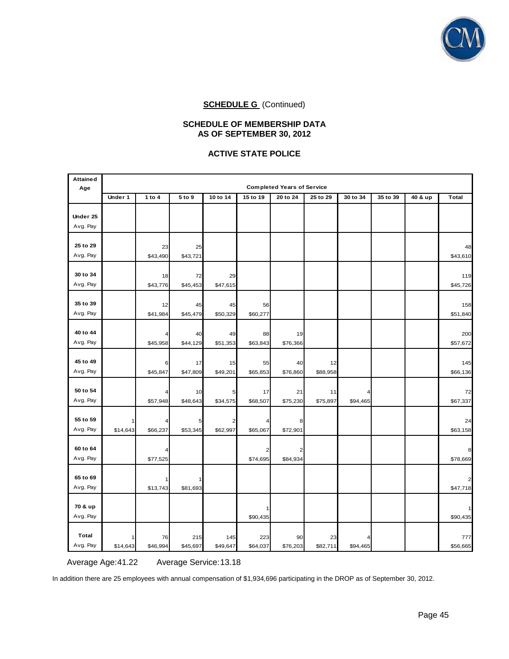

### **SCHEDULE OF MEMBERSHIP DATA AS OF SEPTEMBER 30, 2012**

## **ACTIVE STATE POLICE**

| <b>Attained</b><br>Age | <b>Completed Years of Service</b> |               |                |                |          |          |                |          |          |         |              |
|------------------------|-----------------------------------|---------------|----------------|----------------|----------|----------|----------------|----------|----------|---------|--------------|
|                        | Under 1                           | 1 to $4$      | 5 to 9         | 10 to 14       | 15 to 19 | 20 to 24 | 25 to 29       | 30 to 34 | 35 to 39 | 40 & up | <b>Total</b> |
| Under 25               |                                   |               |                |                |          |          |                |          |          |         |              |
| Avg. Pay               |                                   |               |                |                |          |          |                |          |          |         |              |
|                        |                                   |               |                |                |          |          |                |          |          |         |              |
| 25 to 29               |                                   | 23            | 25             |                |          |          |                |          |          |         | 48           |
| Avg. Pay               |                                   | \$43,490      | \$43,721       |                |          |          |                |          |          |         | \$43,610     |
|                        |                                   |               |                |                |          |          |                |          |          |         |              |
| 30 to 34               |                                   | 18            | 72             | 29             |          |          |                |          |          |         | 119          |
| Avg. Pay               |                                   | \$43,776      | \$45,453       | \$47,615       |          |          |                |          |          |         | \$45,726     |
|                        |                                   |               |                |                |          |          |                |          |          |         |              |
| 35 to 39               |                                   | 12            | 45             | 45             | 56       |          |                |          |          |         | 158          |
| Avg. Pay               |                                   | \$41,984      | \$45,479       | \$50,329       | \$60,277 |          |                |          |          |         | \$51,840     |
|                        |                                   |               |                |                |          |          |                |          |          |         |              |
| 40 to 44               |                                   |               | 40             | 49             | 88       | 19       |                |          |          |         | 200          |
| Avg. Pay               |                                   | \$45,958      | \$44,129       | \$51,353       | \$63,843 | \$76,366 |                |          |          |         | \$57,672     |
| 45 to 49               |                                   |               |                |                |          |          |                |          |          |         |              |
| Avg. Pay               |                                   | 6<br>\$45,847 | 17<br>\$47,809 | 15<br>\$49,201 | 55       | 40       | 12<br>\$88,958 |          |          |         | 145          |
|                        |                                   |               |                |                | \$65,853 | \$76,860 |                |          |          |         | \$66,136     |
| 50 to 54               |                                   |               | 10             | 5              | 17       | 21       | 11             |          |          |         | 72           |
| Avg. Pay               |                                   | \$57,948      | \$48,643       | \$34,575       | \$68,507 | \$75,230 | \$75,897       | \$94,465 |          |         | \$67,337     |
|                        |                                   |               |                |                |          |          |                |          |          |         |              |
| 55 to 59               |                                   |               | 5              | 2              |          | 8        |                |          |          |         | 24           |
| Avg. Pay               | \$14,643                          | \$66,237      | \$53,345       | \$62,997       | \$65,067 | \$72,901 |                |          |          |         | \$63,158     |
|                        |                                   |               |                |                |          |          |                |          |          |         |              |
| 60 to 64               |                                   |               |                |                |          |          |                |          |          |         |              |
| Avg. Pay               |                                   | \$77,525      |                |                | \$74,695 | \$84,934 |                |          |          |         | \$78,669     |
|                        |                                   |               |                |                |          |          |                |          |          |         |              |
| 65 to 69               |                                   |               |                |                |          |          |                |          |          |         |              |
| Avg. Pay               |                                   | \$13,743      | \$81,693       |                |          |          |                |          |          |         | \$47,718     |
|                        |                                   |               |                |                |          |          |                |          |          |         |              |
| 70 & up                |                                   |               |                |                |          |          |                |          |          |         |              |
| Avg. Pay               |                                   |               |                |                | \$90,435 |          |                |          |          |         | \$90,435     |
|                        |                                   |               |                |                |          |          |                |          |          |         |              |
| Total<br>Avg. Pay      |                                   | 76            | 215            | 145            | 223      | 90       | 23             |          |          |         | 777          |
|                        | \$14,643                          | \$46,994      | \$45,697       | \$49,647       | \$64,037 | \$76,203 | \$82,711       | \$94,465 |          |         | \$56,665     |

Average Age: 41.22 Average Service: 13.18

In addition there are 25 employees with annual compensation of \$1,934,696 participating in the DROP as of September 30, 2012.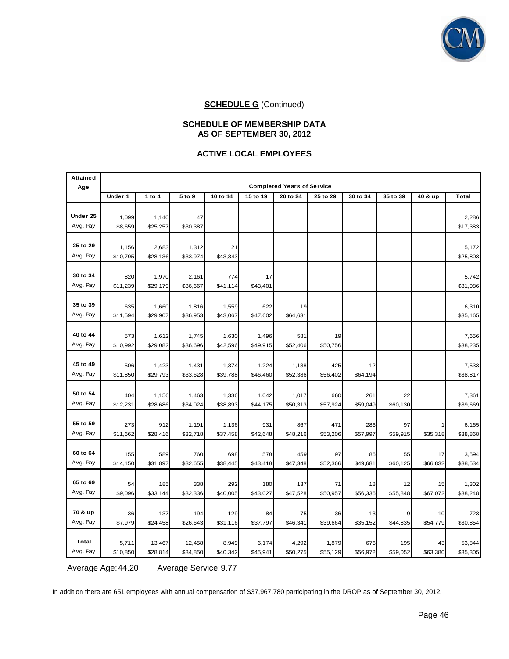

## **SCHEDULE OF MEMBERSHIP DATA AS OF SEPTEMBER 30, 2012**

## **ACTIVE LOCAL EMPLOYEES**

| <b>Attained</b><br>Age |                   |                    |                    |                   |                   | <b>Completed Years of Service</b> |                   |                 |                 |                |                    |
|------------------------|-------------------|--------------------|--------------------|-------------------|-------------------|-----------------------------------|-------------------|-----------------|-----------------|----------------|--------------------|
|                        | Under 1           | 1 to 4             | 5 to 9             | 10 to 14          | 15 to 19          | 20 to 24                          | 25 to 29          | 30 to 34        | 35 to 39        | 40 & up        | Total              |
| Under 25<br>Avg. Pay   | 1,099<br>\$8,659  | 1,140<br>\$25,257  | 47<br>\$30,387     |                   |                   |                                   |                   |                 |                 |                | 2,286<br>\$17,383  |
| 25 to 29<br>Avg. Pay   | 1,156<br>\$10,795 | 2,683<br>\$28,136  | 1,312<br>\$33,974  | 21<br>\$43,343    |                   |                                   |                   |                 |                 |                | 5,172<br>\$25,803  |
| 30 to 34<br>Avg. Pay   | 820<br>\$11,239   | 1,970<br>\$29,179  | 2,161<br>\$36,667  | 774<br>\$41,114   | 17<br>\$43,401    |                                   |                   |                 |                 |                | 5,742<br>\$31,086  |
| 35 to 39<br>Avg. Pay   | 635<br>\$11,594   | 1,660<br>\$29,907  | 1,816<br>\$36,953  | 1,559<br>\$43,067 | 622<br>\$47,602   | 19<br>\$64,631                    |                   |                 |                 |                | 6,310<br>\$35,165  |
| 40 to 44<br>Avg. Pay   | 573<br>\$10,992   | 1,612<br>\$29,082  | 1,745<br>\$36,696  | 1,630<br>\$42,596 | 1,496<br>\$49,915 | 581<br>\$52,406                   | 19<br>\$50,756    |                 |                 |                | 7,656<br>\$38,235  |
| 45 to 49<br>Avg. Pay   | 506<br>\$11,850   | 1,423<br>\$29,793  | 1,431<br>\$33,628  | 1,374<br>\$39,788 | 1,224<br>\$46,460 | 1,138<br>\$52,386                 | 425<br>\$56,402   | 12<br>\$64,194  |                 |                | 7,533<br>\$38,817  |
| 50 to 54<br>Avg. Pay   | 404<br>\$12,231   | 1,156<br>\$28,686  | 1,463<br>\$34,024  | 1,336<br>\$38,893 | 1,042<br>\$44,175 | 1,017<br>\$50,313                 | 660<br>\$57,924   | 261<br>\$59,049 | 22<br>\$60,130  |                | 7,361<br>\$39,669  |
| 55 to 59<br>Avg. Pay   | 273<br>\$11,662   | 912<br>\$28,416    | 1,191<br>\$32,718  | 1,136<br>\$37,458 | 931<br>\$42,648   | 867<br>\$48,216                   | 471<br>\$53,206   | 286<br>\$57,997 | 97<br>\$59,915  | \$35,318       | 6,165<br>\$38,868  |
| 60 to 64<br>Avg. Pay   | 155<br>\$14,150   | 589<br>\$31,897    | 760<br>\$32,655    | 698<br>\$38,445   | 578<br>\$43,418   | 459<br>\$47,348                   | 197<br>\$52,366   | 86<br>\$49,681  | 55<br>\$60,125  | 17<br>\$66,832 | 3,594<br>\$38,534  |
| 65 to 69<br>Avg. Pay   | 54<br>\$9,096     | 185<br>\$33,144    | 338<br>\$32,336    | 292<br>\$40,005   | 180<br>\$43,027   | 137<br>\$47,528                   | 71<br>\$50,957    | 18<br>\$56,336  | 12<br>\$55,848  | 15<br>\$67,072 | 1,302<br>\$38,248  |
| 70 & up<br>Avg. Pay    | 36<br>\$7,979     | 137<br>\$24,458    | 194<br>\$26,643    | 129<br>\$31,116   | 84<br>\$37,797    | 75<br>\$46,341                    | 36<br>\$39,664    | 13<br>\$35,152  | \$44,835        | 10<br>\$54,779 | 723<br>\$30,854    |
| Total<br>Avg. Pay      | 5,711<br>\$10,850 | 13,467<br>\$28,814 | 12,458<br>\$34,850 | 8,949<br>\$40,342 | 6,174<br>\$45,941 | 4,292<br>\$50,275                 | 1,879<br>\$55,129 | 676<br>\$56,972 | 195<br>\$59,052 | 43<br>\$63,380 | 53,844<br>\$35,305 |

Average Age: 44.20 Average Service: 9.77

In addition there are 651 employees with annual compensation of \$37,967,780 participating in the DROP as of September 30, 2012.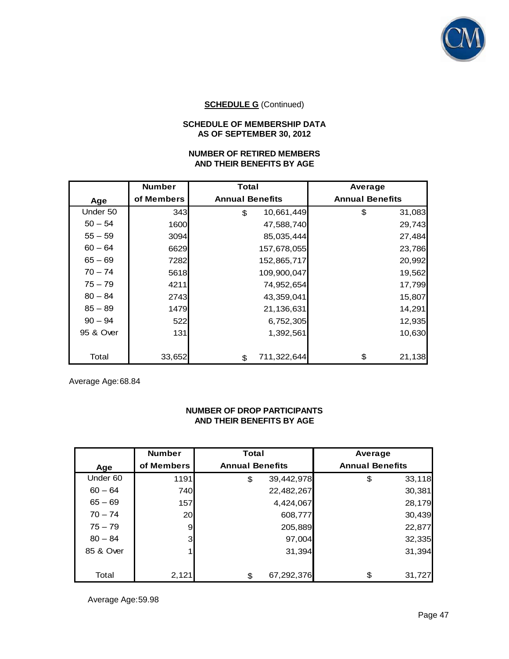

## **SCHEDULE OF MEMBERSHIP DATA AS OF SEPTEMBER 30, 2012**

## **NUMBER OF RETIRED MEMBERS AND THEIR BENEFITS BY AGE**

|           | <b>Number</b> | Total                  | Average                |
|-----------|---------------|------------------------|------------------------|
| Age       | of Members    | <b>Annual Benefits</b> | <b>Annual Benefits</b> |
| Under 50  | 343           | \$<br>10,661,449       | \$<br>31,083           |
| $50 - 54$ | 1600          | 47,588,740             | 29,743                 |
| $55 - 59$ | 3094          | 85,035,444             | 27,484                 |
| $60 - 64$ | 6629          | 157,678,055            | 23,786                 |
| $65 - 69$ | 7282          | 152,865,717            | 20,992                 |
| $70 - 74$ | 5618          | 109,900,047            | 19,562                 |
| $75 - 79$ | 4211          | 74,952,654             | 17,799                 |
| $80 - 84$ | 2743          | 43,359,041             | 15,807                 |
| $85 - 89$ | 1479          | 21,136,631             | 14,291                 |
| $90 - 94$ | 522           | 6,752,305              | 12,935                 |
| 95 & Over | 131           | 1,392,561              | 10,630                 |
|           |               |                        |                        |
| Total     | 33,652        | 711,322,644<br>\$      | \$<br>21,138           |

Average Age: 68.84

## **NUMBER OF DROP PARTICIPANTS AND THEIR BENEFITS BY AGE**

|           | <b>Number</b> | <b>Total</b>           |            | Average                |        |
|-----------|---------------|------------------------|------------|------------------------|--------|
| Age       | of Members    | <b>Annual Benefits</b> |            | <b>Annual Benefits</b> |        |
| Under 60  | 1191          | \$                     | 39,442,978 | \$                     | 33,118 |
| $60 - 64$ | <b>740</b>    |                        | 22,482,267 |                        | 30,381 |
| $65 - 69$ | 157           |                        | 4,424,067  |                        | 28,179 |
| $70 - 74$ | 20            |                        | 608,777    |                        | 30,439 |
| $75 - 79$ | 9             |                        | 205,889    |                        | 22,877 |
| $80 - 84$ | 3             |                        | 97,004     |                        | 32,335 |
| 85 & Over |               |                        | 31,394     |                        | 31,394 |
|           |               |                        |            |                        |        |
| Total     | 2,121         | \$                     | 67,292,376 | \$                     | 31,727 |

Average Age: 59.98